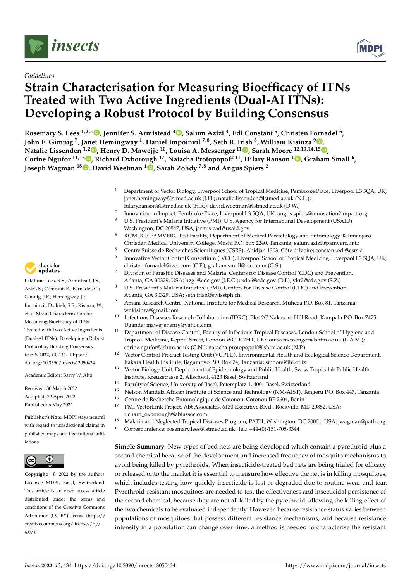

# *Guidelines*

# **Strain Characterisation for Measuring Bioefficacy of ITNs Treated with Two Active Ingredients (Dual-AI ITNs): Developing a Robust Protocol by Building Consensus**



**Rosemary S. Lees 1,2,[\\*](https://orcid.org/0000-0002-4232-9125) , Jennifer S. Armistead <sup>3</sup> [,](https://orcid.org/0000-0002-0542-6401) Salum Azizi <sup>4</sup> , Edi Constant <sup>5</sup> , Christen Fornadel <sup>6</sup> , John E. Gimnig <sup>7</sup> , Ja[net](https://orcid.org/0000-0002-6578-5537) Hemingway <sup>1</sup> , Daniel Impoinvil 7,8, Seth R. Irish <sup>8</sup> , William Kisinza [9](https://orcid.org/0000-0001-7073-186X) , Natalie Lissenden 1,2 , Henry D. Mawejje <sup>10</sup>, Louisa A. Messenger <sup>11</sup> [,](https://orcid.org/0000-0002-3107-6214) Sarah Moore 12,13,14,15 [,](https://orcid.org/0000-0002-0938-6654) Corine Ngufor 11,16 [,](https://orcid.org/0000-0002-7755-9609) Richard Oxborough <sup>17</sup>, Natacha Protopopoff <sup>11</sup>, Hilary Ranson <sup>1</sup> [,](https://orcid.org/0000-0003-2332-8247) Graham Small <sup>6</sup> , Joseph Wagman <sup>18</sup> [,](https://orcid.org/0000-0002-5178-3098) David Weetman <sup>1</sup> [,](https://orcid.org/0000-0002-5820-1388) Sarah Zohdy 7,8 and Angus Spiers <sup>2</sup>**

- <sup>1</sup> Department of Vector Biology, Liverpool School of Tropical Medicine, Pembroke Place, Liverpool L3 5QA, UK; janet.hemingway@lstmed.ac.uk (J.H.); natalie.lissenden@lstmed.ac.uk (N.L.);
- hilary.ranson@lstmed.ac.uk (H.R.); david.weetman@lstmed.ac.uk (D.W.)
- 2 Innovation to Impact, Pembroke Place, Liverpool L3 5QA, UK; angus.spiers@innovation2impact.org <sup>3</sup> U.S. President's Malaria Initiative (PMI), U.S. Agency for International Development (USAID), Washington, DC 20547, USA; jarmistead@usaid.gov
- <sup>4</sup> KCMUCo-PAMVERC Test Facility, Department of Medical Parasitology and Entomology, Kilimanjaro Christian Medical University College, Moshi P.O. Box 2240, Tanzania; salum.azizi@pamverc.or.tz
- <sup>5</sup> Centre Suisse de Recherches Scientifiques (CSRS), Abidjan 1303, Côte d'Ivoire; constant.edi@csrs.ci
- 6 Innovative Vector Control Consortium (IVCC), Liverpool School of Tropical Medicine, Liverpool L3 5QA, UK; christen.fornadel@ivcc.com (C.F.); graham.small@ivcc.com (G.S.)
- <sup>7</sup> Division of Parasitic Diseases and Malaria, Centers for Disease Control (CDC) and Prevention, Atlanta, GA 30329, USA; hzg1@cdc.gov (J.E.G.); xda6@cdc.gov (D.I.); ykr2@cdc.gov (S.Z.)
- <sup>8</sup> U.S. President's Malaria Initiative (PMI), Centers for Disease Control (CDC) and Prevention, Atlanta, GA 30329, USA; seth.irish@swisstph.ch
- <sup>9</sup> Amani Research Centre, National Institute for Medical Research, Muheza P.O. Box 81, Tanzania; wnkisinza@gmail.com
- <sup>10</sup> Infectious Diseases Research Collaboration (IDRC), Plot 2C Nakasero Hill Road, Kampala P.O. Box 7475, Uganda; mawejjehenry@yahoo.com
- <sup>11</sup> Department of Disease Control, Faculty of Infectious Tropical Diseases, London School of Hygiene and Tropical Medicine, Keppel Street, London WC1E 7HT, UK; louisa.messenger@lshtm.ac.uk (L.A.M.); corine.ngufor@lshtm.ac.uk (C.N.); natacha.protopopoff@lshtm.ac.uk (N.P.)
- <sup>12</sup> Vector Control Product Testing Unit (VCPTU), Environmental Health and Ecological Science Department, Ifakara Health Institute, Bagamoyo P.O. Box 74, Tanzania; smoore@ihi.or.tz
- <sup>13</sup> Vector Biology Unit, Department of Epidemiology and Public Health, Swiss Tropical & Public Health Institute, Kreuzstrasse 2, Allschwil, 4123 Basel, Switzerland
- <sup>14</sup> Faculty of Science, University of Basel, Petersplatz 1, 4001 Basel, Switzerland<br><sup>15</sup> Nelson Mandela African Institute of Science and Technology (NM AJST). Ter
- <sup>15</sup> Nelson Mandela African Institute of Science and Technology (NM-AIST), Tengeru P.O. Box 447, Tanzania<br><sup>16</sup> Centre de Beckereke Enternalegiaus de Catenau, Catenau, P.P. 2604, Bonin
- <sup>16</sup> Centre de Recherche Entomologique de Cotonou, Cotonou BP 2604, Benin<br><sup>17</sup> PMJ Vector<sup>1</sup> ink Project, Aht Associates, 6130 Executive Blvd., Poskville, M
- <sup>17</sup> PMI VectorLink Project, Abt Associates, 6130 Executive Blvd., Rockville, MD 20852, USA; richard\_oxborough@abtassoc.com
- <sup>18</sup> Malaria and Neglected Tropical Diseases Program, PATH, Washington, DC 20001, USA; jwagman@path.org
- **\*** Correspondence: rosemary.lees@lstmed.ac.uk; Tel.: +44-(0)-151-705-3344

**Simple Summary:** New types of bed nets are being developed which contain a pyrethroid plus a second chemical because of the development and increased frequency of mosquito mechanisms to avoid being killed by pyrethroids. When insecticide-treated bed nets are being trialed for efficacy or released onto the market it is essential to measure how effective the net is in killing mosquitoes, which includes testing how quickly insecticide is lost or degraded due to routine wear and tear. Pyrethroid-resistant mosquitoes are needed to test the effectiveness and insecticidal persistence of the second chemical, because they are not all killed by the pyrethroid, allowing the killing effect of the two chemicals to be evaluated independently. However, because resistance status varies between populations of mosquitoes that possess different resistance mechanisms, and because resistance intensity in a population can change over time, a method is needed to characterise the resistant



**Citation:** Lees, R.S.; Armistead, J.S.; Azizi, S.; Constant, E.; Fornadel, C.; Gimnig, J.E.; Hemingway, J.; Impoinvil, D.; Irish, S.R.; Kisinza, W.; et al. Strain Characterisation for Measuring Bioefficacy of ITNs Treated with Two Active Ingredients (Dual-AI ITNs): Developing a Robust Protocol by Building Consensus. *Insects* **2022**, *13*, 434. [https://](https://doi.org/10.3390/insects13050434) [doi.org/10.3390/insects13050434](https://doi.org/10.3390/insects13050434)

Academic Editor: Barry W. Alto

Received: 30 March 2022 Accepted: 22 April 2022 Published: 6 May 2022

**Publisher's Note:** MDPI stays neutral with regard to jurisdictional claims in published maps and institutional affiliations.



**Copyright:** © 2022 by the authors. Licensee MDPI, Basel, Switzerland. This article is an open access article distributed under the terms and conditions of the Creative Commons Attribution (CC BY) license [\(https://](https://creativecommons.org/licenses/by/4.0/) [creativecommons.org/licenses/by/](https://creativecommons.org/licenses/by/4.0/)  $4.0/$ ).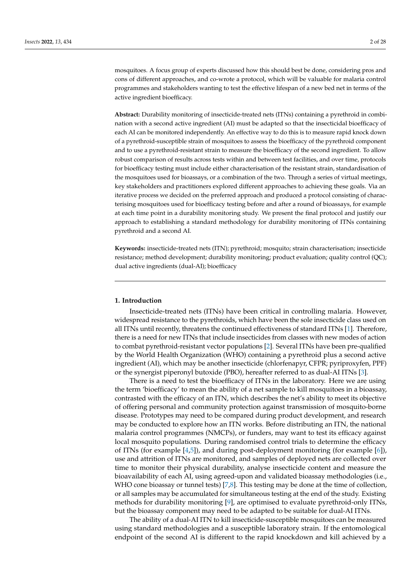mosquitoes. A focus group of experts discussed how this should best be done, considering pros and cons of different approaches, and co-wrote a protocol, which will be valuable for malaria control programmes and stakeholders wanting to test the effective lifespan of a new bed net in terms of the active ingredient bioefficacy.

**Abstract:** Durability monitoring of insecticide-treated nets (ITNs) containing a pyrethroid in combination with a second active ingredient (AI) must be adapted so that the insecticidal bioefficacy of each AI can be monitored independently. An effective way to do this is to measure rapid knock down of a pyrethroid-susceptible strain of mosquitoes to assess the bioefficacy of the pyrethroid component and to use a pyrethroid-resistant strain to measure the bioefficacy of the second ingredient. To allow robust comparison of results across tests within and between test facilities, and over time, protocols for bioefficacy testing must include either characterisation of the resistant strain, standardisation of the mosquitoes used for bioassays, or a combination of the two. Through a series of virtual meetings, key stakeholders and practitioners explored different approaches to achieving these goals. Via an iterative process we decided on the preferred approach and produced a protocol consisting of characterising mosquitoes used for bioefficacy testing before and after a round of bioassays, for example at each time point in a durability monitoring study. We present the final protocol and justify our approach to establishing a standard methodology for durability monitoring of ITNs containing pyrethroid and a second AI.

**Keywords:** insecticide-treated nets (ITN); pyrethroid; mosquito; strain characterisation; insecticide resistance; method development; durability monitoring; product evaluation; quality control (QC); dual active ingredients (dual-AI); bioefficacy

# **1. Introduction**

Insecticide-treated nets (ITNs) have been critical in controlling malaria. However, widespread resistance to the pyrethroids, which have been the sole insecticide class used on all ITNs until recently, threatens the continued effectiveness of standard ITNs [\[1\]](#page-24-0). Therefore, there is a need for new ITNs that include insecticides from classes with new modes of action to combat pyrethroid-resistant vector populations [\[2\]](#page-24-1). Several ITNs have been pre-qualified by the World Health Organization (WHO) containing a pyrethroid plus a second active ingredient (AI), which may be another insecticide (chlorfenapyr, CFPR; pyriproxyfen, PPF) or the synergist piperonyl butoxide (PBO), hereafter referred to as dual-AI ITNs [\[3\]](#page-24-2).

There is a need to test the bioefficacy of ITNs in the laboratory. Here we are using the term 'bioefficacy' to mean the ability of a net sample to kill mosquitoes in a bioassay, contrasted with the efficacy of an ITN, which describes the net's ability to meet its objective of offering personal and community protection against transmission of mosquito-borne disease. Prototypes may need to be compared during product development, and research may be conducted to explore how an ITN works. Before distributing an ITN, the national malaria control programmes (NMCPs), or funders, may want to test its efficacy against local mosquito populations. During randomised control trials to determine the efficacy of ITNs (for example [\[4](#page-24-3)[,5\]](#page-24-4)), and during post-deployment monitoring (for example [\[6\]](#page-24-5)), use and attrition of ITNs are monitored, and samples of deployed nets are collected over time to monitor their physical durability, analyse insecticide content and measure the bioavailability of each AI, using agreed-upon and validated bioassay methodologies (i.e., WHO cone bioassay or tunnel tests) [\[7](#page-24-6)[,8\]](#page-24-7). This testing may be done at the time of collection, or all samples may be accumulated for simultaneous testing at the end of the study. Existing methods for durability monitoring [\[9\]](#page-24-8), are optimised to evaluate pyrethroid-only ITNs, but the bioassay component may need to be adapted to be suitable for dual-AI ITNs.

The ability of a dual-AI ITN to kill insecticide-susceptible mosquitoes can be measured using standard methodologies and a susceptible laboratory strain. If the entomological endpoint of the second AI is different to the rapid knockdown and kill achieved by a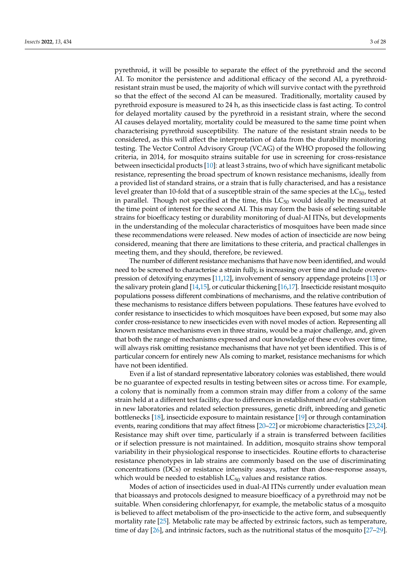pyrethroid, it will be possible to separate the effect of the pyrethroid and the second AI. To monitor the persistence and additional efficacy of the second AI, a pyrethroidresistant strain must be used, the majority of which will survive contact with the pyrethroid so that the effect of the second AI can be measured. Traditionally, mortality caused by pyrethroid exposure is measured to 24 h, as this insecticide class is fast acting. To control for delayed mortality caused by the pyrethroid in a resistant strain, where the second AI causes delayed mortality, mortality could be measured to the same time point when characterising pyrethroid susceptibility. The nature of the resistant strain needs to be considered, as this will affect the interpretation of data from the durability monitoring testing. The Vector Control Advisory Group (VCAG) of the WHO proposed the following criteria, in 2014, for mosquito strains suitable for use in screening for cross-resistance between insecticidal products [\[10\]](#page-24-9): at least 3 strains, two of which have significant metabolic resistance, representing the broad spectrum of known resistance mechanisms, ideally from a provided list of standard strains, or a strain that is fully characterised, and has a resistance level greater than 10-fold that of a susceptible strain of the same species at the  $LC_{50}$ , tested in parallel. Though not specified at the time, this  $LC_{50}$  would ideally be measured at the time point of interest for the second AI. This may form the basis of selecting suitable strains for bioefficacy testing or durability monitoring of dual-AI ITNs, but developments in the understanding of the molecular characteristics of mosquitoes have been made since these recommendations were released. New modes of action of insecticide are now being considered, meaning that there are limitations to these criteria, and practical challenges in meeting them, and they should, therefore, be reviewed.

The number of different resistance mechanisms that have now been identified, and would need to be screened to characterise a strain fully, is increasing over time and include overexpression of detoxifying enzymes [\[11,](#page-24-10)[12\]](#page-24-11), involvement of sensory appendage proteins [\[13\]](#page-24-12) or the salivary protein gland [\[14,](#page-25-0)[15\]](#page-25-1), or cuticular thickening [\[16](#page-25-2)[,17\]](#page-25-3). Insecticide resistant mosquito populations possess different combinations of mechanisms, and the relative contribution of these mechanisms to resistance differs between populations. These features have evolved to confer resistance to insecticides to which mosquitoes have been exposed, but some may also confer cross-resistance to new insecticides even with novel modes of action. Representing all known resistance mechanisms even in three strains, would be a major challenge, and, given that both the range of mechanisms expressed and our knowledge of these evolves over time, will always risk omitting resistance mechanisms that have not yet been identified. This is of particular concern for entirely new AIs coming to market, resistance mechanisms for which have not been identified.

Even if a list of standard representative laboratory colonies was established, there would be no guarantee of expected results in testing between sites or across time. For example, a colony that is nominally from a common strain may differ from a colony of the same strain held at a different test facility, due to differences in establishment and/or stabilisation in new laboratories and related selection pressures, genetic drift, inbreeding and genetic bottlenecks [\[18\]](#page-25-4), insecticide exposure to maintain resistance [\[19\]](#page-25-5) or through contamination events, rearing conditions that may affect fitness [\[20–](#page-25-6)[22\]](#page-25-7) or microbiome characteristics [\[23,](#page-25-8)[24\]](#page-25-9). Resistance may shift over time, particularly if a strain is transferred between facilities or if selection pressure is not maintained. In addition, mosquito strains show temporal variability in their physiological response to insecticides. Routine efforts to characterise resistance phenotypes in lab strains are commonly based on the use of discriminating concentrations (DCs) or resistance intensity assays, rather than dose-response assays, which would be needed to establish  $LC_{50}$  values and resistance ratios.

Modes of action of insecticides used in dual-AI ITNs currently under evaluation mean that bioassays and protocols designed to measure bioefficacy of a pyrethroid may not be suitable. When considering chlorfenapyr, for example, the metabolic status of a mosquito is believed to affect metabolism of the pro-insecticide to the active form, and subsequently mortality rate [\[25\]](#page-25-10). Metabolic rate may be affected by extrinsic factors, such as temperature, time of day [\[26\]](#page-25-11), and intrinsic factors, such as the nutritional status of the mosquito [\[27](#page-25-12)[–29\]](#page-25-13).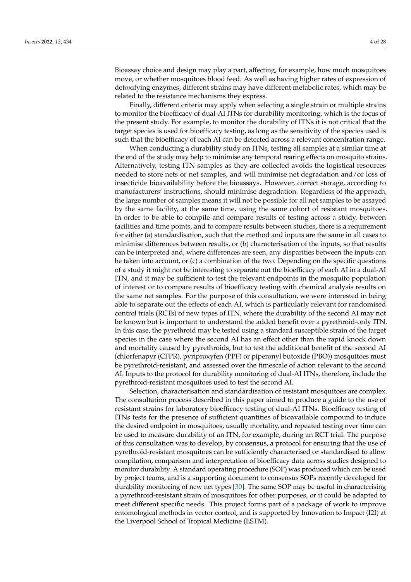Bioassay choice and design may play a part, affecting, for example, how much mosquitoes move, or whether mosquitoes blood feed. As well as having higher rates of expression of detoxifying enzymes, different strains may have different metabolic rates, which may be related to the resistance mechanisms they express.

Finally, different criteria may apply when selecting a single strain or multiple strains to monitor the bioefficacy of dual-AI ITNs for durability monitoring, which is the focus of the present study. For example, to monitor the durability of ITNs it is not critical that the target species is used for bioefficacy testing, as long as the sensitivity of the species used is such that the bioefficacy of each AI can be detected across a relevant concentration range.

When conducting a durability study on ITNs, testing all samples at a similar time at the end of the study may help to minimise any temporal rearing effects on mosquito strains. Alternatively, testing ITN samples as they are collected avoids the logistical resources needed to store nets or net samples, and will minimise net degradation and/or loss of insecticide bioavailability before the bioassays. However, correct storage, according to manufacturers' instructions, should minimise degradation. Regardless of the approach, the large number of samples means it will not be possible for all net samples to be assayed by the same facility, at the same time, using the same cohort of resistant mosquitoes. In order to be able to compile and compare results of testing across a study, between facilities and time points, and to compare results between studies, there is a requirement for either (a) standardisation, such that the method and inputs are the same in all cases to minimise differences between results, or (b) characterisation of the inputs, so that results can be interpreted and, where differences are seen, any disparities between the inputs can be taken into account, or (c) a combination of the two. Depending on the specific questions of a study it might not be interesting to separate out the bioefficacy of each AI in a dual-AI ITN, and it may be sufficient to test the relevant endpoints in the mosquito population of interest or to compare results of bioefficacy testing with chemical analysis results on the same net samples. For the purpose of this consultation, we were interested in being able to separate out the effects of each AI, which is particularly relevant for randomised control trials (RCTs) of new types of ITN, where the durability of the second AI may not be known but is important to understand the added benefit over a pyrethroid-only ITN. In this case, the pyrethroid may be tested using a standard susceptible strain of the target species in the case where the second AI has an effect other than the rapid knock down and mortality caused by pyrethroids, but to test the additional benefit of the second AI (chlorfenapyr (CFPR), pyriproxyfen (PPF) or piperonyl butoxide (PBO)) mosquitoes must be pyrethroid-resistant, and assessed over the timescale of action relevant to the second AI. Inputs to the protocol for durability monitoring of dual-AI ITNs, therefore, include the pyrethroid-resistant mosquitoes used to test the second AI.

Selection, characterisation and standardisation of resistant mosquitoes are complex. The consultation process described in this paper aimed to produce a guide to the use of resistant strains for laboratory bioefficacy testing of dual-AI ITNs. Bioefficacy testing of ITNs tests for the presence of sufficient quantities of bioavailable compound to induce the desired endpoint in mosquitoes, usually mortality, and repeated testing over time can be used to measure durability of an ITN, for example, during an RCT trial. The purpose of this consultation was to develop, by consensus, a protocol for ensuring that the use of pyrethroid-resistant mosquitoes can be sufficiently characterised or standardised to allow compilation, comparison and interpretation of bioefficacy data across studies designed to monitor durability. A standard operating procedure (SOP) was produced which can be used by project teams, and is a supporting document to consensus SOPs recently developed for durability monitoring of new net types [\[30\]](#page-25-14). The same SOP may be useful in characterising a pyrethroid-resistant strain of mosquitoes for other purposes, or it could be adapted to meet different specific needs. This project forms part of a package of work to improve entomological methods in vector control, and is supported by Innovation to Impact (I2I) at the Liverpool School of Tropical Medicine (LSTM).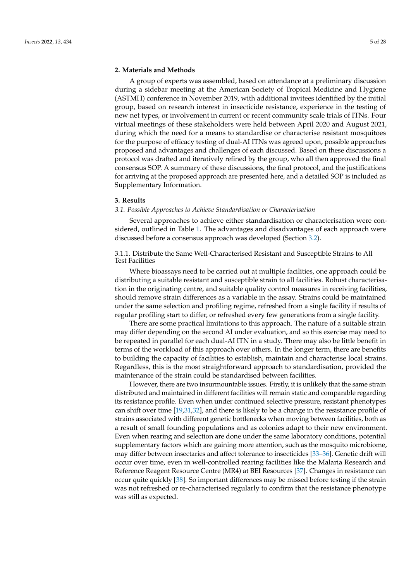# **2. Materials and Methods**

A group of experts was assembled, based on attendance at a preliminary discussion during a sidebar meeting at the American Society of Tropical Medicine and Hygiene (ASTMH) conference in November 2019, with additional invitees identified by the initial group, based on research interest in insecticide resistance, experience in the testing of new net types, or involvement in current or recent community scale trials of ITNs. Four virtual meetings of these stakeholders were held between April 2020 and August 2021, during which the need for a means to standardise or characterise resistant mosquitoes for the purpose of efficacy testing of dual-AI ITNs was agreed upon, possible approaches proposed and advantages and challenges of each discussed. Based on these discussions a protocol was drafted and iteratively refined by the group, who all then approved the final consensus SOP. A summary of these discussions, the final protocol, and the justifications for arriving at the proposed approach are presented here, and a detailed SOP is included as Supplementary Information.

#### **3. Results**

# *3.1. Possible Approaches to Achieve Standardisation or Characterisation*

Several approaches to achieve either standardisation or characterisation were considered, outlined in Table [1.](#page-5-0) The advantages and disadvantages of each approach were discussed before a consensus approach was developed (Section [3.2\)](#page-14-0).

3.1.1. Distribute the Same Well-Characterised Resistant and Susceptible Strains to All Test Facilities

Where bioassays need to be carried out at multiple facilities, one approach could be distributing a suitable resistant and susceptible strain to all facilities. Robust characterisation in the originating centre, and suitable quality control measures in receiving facilities, should remove strain differences as a variable in the assay. Strains could be maintained under the same selection and profiling regime, refreshed from a single facility if results of regular profiling start to differ, or refreshed every few generations from a single facility.

There are some practical limitations to this approach. The nature of a suitable strain may differ depending on the second AI under evaluation, and so this exercise may need to be repeated in parallel for each dual-AI ITN in a study. There may also be little benefit in terms of the workload of this approach over others. In the longer term, there are benefits to building the capacity of facilities to establish, maintain and characterise local strains. Regardless, this is the most straightforward approach to standardisation, provided the maintenance of the strain could be standardised between facilities.

However, there are two insurmountable issues. Firstly, it is unlikely that the same strain distributed and maintained in different facilities will remain static and comparable regarding its resistance profile. Even when under continued selective pressure, resistant phenotypes can shift over time [\[19,](#page-25-5)[31](#page-25-15)[,32\]](#page-25-16), and there is likely to be a change in the resistance profile of strains associated with different genetic bottlenecks when moving between facilities, both as a result of small founding populations and as colonies adapt to their new environment. Even when rearing and selection are done under the same laboratory conditions, potential supplementary factors which are gaining more attention, such as the mosquito microbiome, may differ between insectaries and affect tolerance to insecticides [\[33](#page-25-17)[–36\]](#page-25-18). Genetic drift will occur over time, even in well-controlled rearing facilities like the Malaria Research and Reference Reagent Resource Centre (MR4) at BEI Resources [\[37\]](#page-25-19). Changes in resistance can occur quite quickly [\[38\]](#page-26-0). So important differences may be missed before testing if the strain was not refreshed or re-characterised regularly to confirm that the resistance phenotype was still as expected.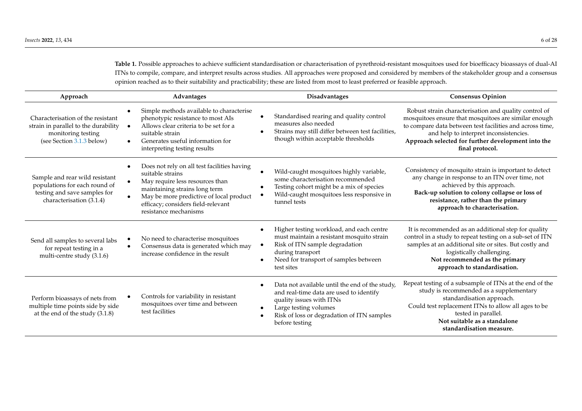**Table 1.** Possible approaches to achieve sufficient standardisation or characterisation of pyrethroid-resistant mosquitoes used for bioefficacy bioassays of dual-AI ITNs to compile, compare, and interpret results across studies. All approaches were proposed and considered by members of the stakeholder group and a consensus opinion reached as to their suitability and practicability; these are listed from most to least preferred or feasible approach.

<span id="page-5-0"></span>

| Approach                                                                                                                     | Advantages                                                                                                                                                                                                                                    | <b>Disadvantages</b>                                                                                                                                                                                                                     | <b>Consensus Opinion</b>                                                                                                                                                                                                                                                                     |
|------------------------------------------------------------------------------------------------------------------------------|-----------------------------------------------------------------------------------------------------------------------------------------------------------------------------------------------------------------------------------------------|------------------------------------------------------------------------------------------------------------------------------------------------------------------------------------------------------------------------------------------|----------------------------------------------------------------------------------------------------------------------------------------------------------------------------------------------------------------------------------------------------------------------------------------------|
| Characterisation of the resistant<br>strain in parallel to the durability<br>monitoring testing<br>(see Section 3.1.3 below) | Simple methods available to characterise<br>phenotypic resistance to most AIs<br>Allows clear criteria to be set for a<br>suitable strain<br>Generates useful information for<br>interpreting testing results                                 | Standardised rearing and quality control<br>measures also needed<br>Strains may still differ between test facilities,<br>though within acceptable thresholds                                                                             | Robust strain characterisation and quality control of<br>mosquitoes ensure that mosquitoes are similar enough<br>to compare data between test facilities and across time,<br>and help to interpret inconsistencies.<br>Approach selected for further development into the<br>final protocol. |
| Sample and rear wild resistant<br>populations for each round of<br>testing and save samples for<br>characterisation (3.1.4)  | Does not rely on all test facilities having<br>suitable strains<br>May require less resources than<br>maintaining strains long term<br>May be more predictive of local product<br>efficacy; considers field-relevant<br>resistance mechanisms | Wild-caught mosquitoes highly variable,<br>some characterisation recommended<br>Testing cohort might be a mix of species<br>Wild-caught mosquitoes less responsive in<br>tunnel tests                                                    | Consistency of mosquito strain is important to detect<br>any change in response to an ITN over time, not<br>achieved by this approach.<br>Back-up solution to colony collapse or loss of<br>resistance, rather than the primary<br>approach to characterisation.                             |
| Send all samples to several labs<br>for repeat testing in a<br>multi-centre study (3.1.6)                                    | No need to characterise mosquitoes<br>Consensus data is generated which may<br>increase confidence in the result                                                                                                                              | Higher testing workload, and each centre<br>must maintain a resistant mosquito strain<br>Risk of ITN sample degradation<br>during transport<br>Need for transport of samples between<br>test sites                                       | It is recommended as an additional step for quality<br>control in a study to repeat testing on a sub-set of ITN<br>samples at an additional site or sites. But costly and<br>logistically challenging.<br>Not recommended as the primary<br>approach to standardisation.                     |
| Perform bioassays of nets from<br>multiple time points side by side<br>at the end of the study (3.1.8)                       | Controls for variability in resistant<br>mosquitoes over time and between<br>test facilities                                                                                                                                                  | Data not available until the end of the study,<br>$\bullet$<br>and real-time data are used to identify<br>quality issues with ITNs<br>Large testing volumes<br>$\bullet$<br>Risk of loss or degradation of ITN samples<br>before testing | Repeat testing of a subsample of ITNs at the end of the<br>study is recommended as a supplementary<br>standardisation approach.<br>Could test replacement ITNs to allow all ages to be<br>tested in parallel.<br>Not suitable as a standalone<br>standardisation measure.                    |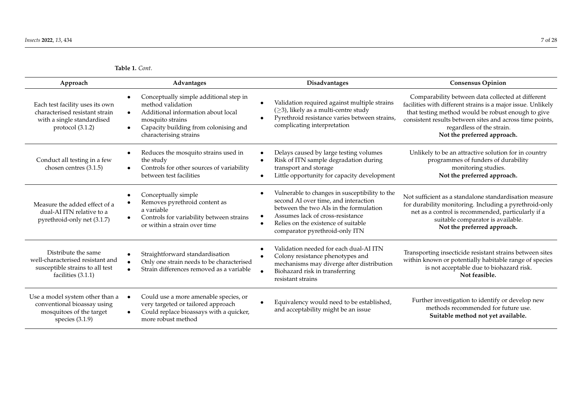**Table 1.** *Cont.*

| Approach                                                                                                              | Advantages                                                                                                                                                                               | Disadvantages                                                                                                                                                                                                                                 | <b>Consensus Opinion</b>                                                                                                                                                                                                                                                                        |
|-----------------------------------------------------------------------------------------------------------------------|------------------------------------------------------------------------------------------------------------------------------------------------------------------------------------------|-----------------------------------------------------------------------------------------------------------------------------------------------------------------------------------------------------------------------------------------------|-------------------------------------------------------------------------------------------------------------------------------------------------------------------------------------------------------------------------------------------------------------------------------------------------|
| Each test facility uses its own<br>characterised resistant strain<br>with a single standardised<br>protocol $(3.1.2)$ | Conceptually simple additional step in<br>method validation<br>Additional information about local<br>mosquito strains<br>Capacity building from colonising and<br>characterising strains | Validation required against multiple strains<br>$(\geq 3)$ , likely as a multi-centre study<br>Pyrethroid resistance varies between strains,<br>complicating interpretation                                                                   | Comparability between data collected at different<br>facilities with different strains is a major issue. Unlikely<br>that testing method would be robust enough to give<br>consistent results between sites and across time points,<br>regardless of the strain.<br>Not the preferred approach. |
| Conduct all testing in a few<br>chosen centres (3.1.5)                                                                | Reduces the mosquito strains used in<br>the study<br>Controls for other sources of variability<br>between test facilities                                                                | Delays caused by large testing volumes<br>Risk of ITN sample degradation during<br>transport and storage<br>Little opportunity for capacity development                                                                                       | Unlikely to be an attractive solution for in country<br>programmes of funders of durability<br>monitoring studies.<br>Not the preferred approach.                                                                                                                                               |
| Measure the added effect of a<br>dual-AI ITN relative to a<br>pyrethroid-only net (3.1.7)                             | Conceptually simple<br>Removes pyrethroid content as<br>a variable<br>Controls for variability between strains<br>or within a strain over time                                           | Vulnerable to changes in susceptibility to the<br>second AI over time, and interaction<br>between the two AIs in the formulation<br>Assumes lack of cross-resistance<br>Relies on the existence of suitable<br>comparator pyrethroid-only ITN | Not sufficient as a standalone standardisation measure<br>for durability monitoring. Including a pyrethroid-only<br>net as a control is recommended, particularly if a<br>suitable comparator is available.<br>Not the preferred approach.                                                      |
| Distribute the same<br>well-characterised resistant and<br>susceptible strains to all test<br>facilities (3.1.1)      | Straightforward standardisation<br>Only one strain needs to be characterised<br>Strain differences removed as a variable                                                                 | Validation needed for each dual-AI ITN<br>Colony resistance phenotypes and<br>mechanisms may diverge after distribution<br>Biohazard risk in transferring<br>resistant strains                                                                | Transporting insecticide resistant strains between sites<br>within known or potentially habitable range of species<br>is not acceptable due to biohazard risk.<br>Not feasible.                                                                                                                 |
| Use a model system other than a<br>conventional bioassay using<br>mosquitoes of the target<br>species $(3.1.9)$       | Could use a more amenable species, or<br>very targeted or tailored approach<br>Could replace bioassays with a quicker,<br>more robust method                                             | Equivalency would need to be established,<br>and acceptability might be an issue                                                                                                                                                              | Further investigation to identify or develop new<br>methods recommended for future use.<br>Suitable method not yet available.                                                                                                                                                                   |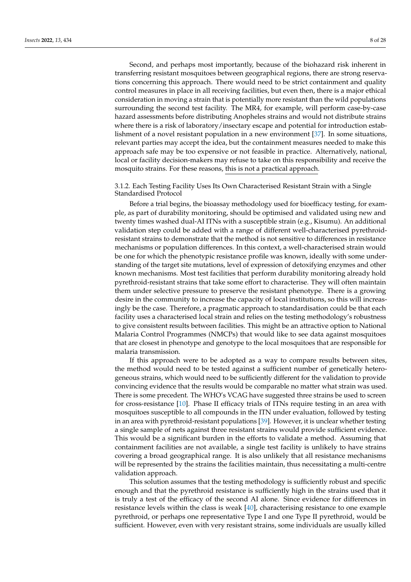Second, and perhaps most importantly, because of the biohazard risk inherent in transferring resistant mosquitoes between geographical regions, there are strong reservations concerning this approach. There would need to be strict containment and quality control measures in place in all receiving facilities, but even then, there is a major ethical consideration in moving a strain that is potentially more resistant than the wild populations surrounding the second test facility. The MR4, for example, will perform case-by-case hazard assessments before distributing Anopheles strains and would not distribute strains where there is a risk of laboratory/insectary escape and potential for introduction establishment of a novel resistant population in a new environment [\[37\]](#page-25-19). In some situations, relevant parties may accept the idea, but the containment measures needed to make this approach safe may be too expensive or not feasible in practice. Alternatively, national, local or facility decision-makers may refuse to take on this responsibility and receive the mosquito strains. For these reasons, this is not a practical approach.

# 3.1.2. Each Testing Facility Uses Its Own Characterised Resistant Strain with a Single Standardised Protocol

Before a trial begins, the bioassay methodology used for bioefficacy testing, for example, as part of durability monitoring, should be optimised and validated using new and twenty times washed dual-AI ITNs with a susceptible strain (e.g., Kisumu). An additional validation step could be added with a range of different well-characterised pyrethroidresistant strains to demonstrate that the method is not sensitive to differences in resistance mechanisms or population differences. In this context, a well-characterised strain would be one for which the phenotypic resistance profile was known, ideally with some understanding of the target site mutations, level of expression of detoxifying enzymes and other known mechanisms. Most test facilities that perform durability monitoring already hold pyrethroid-resistant strains that take some effort to characterise. They will often maintain them under selective pressure to preserve the resistant phenotype. There is a growing desire in the community to increase the capacity of local institutions, so this will increasingly be the case. Therefore, a pragmatic approach to standardisation could be that each facility uses a characterised local strain and relies on the testing methodology's robustness to give consistent results between facilities. This might be an attractive option to National Malaria Control Programmes (NMCPs) that would like to see data against mosquitoes that are closest in phenotype and genotype to the local mosquitoes that are responsible for malaria transmission.

If this approach were to be adopted as a way to compare results between sites, the method would need to be tested against a sufficient number of genetically heterogeneous strains, which would need to be sufficiently different for the validation to provide convincing evidence that the results would be comparable no matter what strain was used. There is some precedent. The WHO's VCAG have suggested three strains be used to screen for cross-resistance [\[10\]](#page-24-9). Phase II efficacy trials of ITNs require testing in an area with mosquitoes susceptible to all compounds in the ITN under evaluation, followed by testing in an area with pyrethroid-resistant populations [\[39\]](#page-26-1). However, it is unclear whether testing a single sample of nets against three resistant strains would provide sufficient evidence. This would be a significant burden in the efforts to validate a method. Assuming that containment facilities are not available, a single test facility is unlikely to have strains covering a broad geographical range. It is also unlikely that all resistance mechanisms will be represented by the strains the facilities maintain, thus necessitating a multi-centre validation approach.

This solution assumes that the testing methodology is sufficiently robust and specific enough and that the pyrethroid resistance is sufficiently high in the strains used that it is truly a test of the efficacy of the second AI alone. Since evidence for differences in resistance levels within the class is weak [\[40\]](#page-26-2), characterising resistance to one example pyrethroid, or perhaps one representative Type I and one Type II pyrethroid, would be sufficient. However, even with very resistant strains, some individuals are usually killed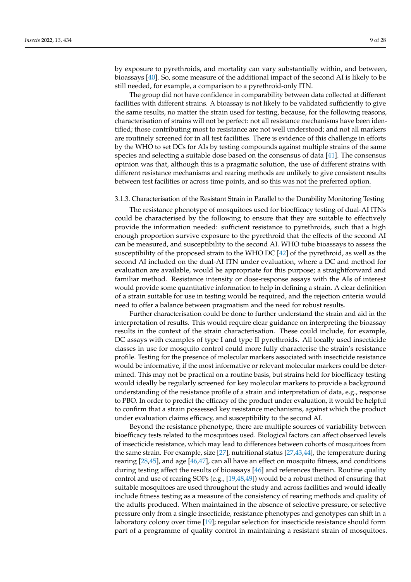<span id="page-8-0"></span>by exposure to pyrethroids, and mortality can vary substantially within, and between, bioassays [\[40\]](#page-26-2). So, some measure of the additional impact of the second AI is likely to be still needed, for example, a comparison to a pyrethroid-only ITN.

The group did not have confidence in comparability between data collected at different facilities with different strains. A bioassay is not likely to be validated sufficiently to give the same results, no matter the strain used for testing, because, for the following reasons, characterisation of strains will not be perfect: not all resistance mechanisms have been identified; those contributing most to resistance are not well understood; and not all markers are routinely screened for in all test facilities. There is evidence of this challenge in efforts by the WHO to set DCs for AIs by testing compounds against multiple strains of the same species and selecting a suitable dose based on the consensus of data [\[41\]](#page-26-3). The consensus opinion was that, although this is a pragmatic solution, the use of different strains with different resistance mechanisms and rearing methods are unlikely to give consistent results between test facilities or across time points, and so this was not the preferred option.

# 3.1.3. Characterisation of the Resistant Strain in Parallel to the Durability Monitoring Testing

The resistance phenotype of mosquitoes used for bioefficacy testing of dual-AI ITNs could be characterised by the following to ensure that they are suitable to effectively provide the information needed: sufficient resistance to pyrethroids, such that a high enough proportion survive exposure to the pyrethroid that the effects of the second AI can be measured, and susceptibility to the second AI. WHO tube bioassays to assess the susceptibility of the proposed strain to the WHO DC [\[42\]](#page-26-4) of the pyrethroid, as well as the second AI included on the dual-AI ITN under evaluation, where a DC and method for evaluation are available, would be appropriate for this purpose; a straightforward and familiar method. Resistance intensity or dose-response assays with the AIs of interest would provide some quantitative information to help in defining a strain. A clear definition of a strain suitable for use in testing would be required, and the rejection criteria would need to offer a balance between pragmatism and the need for robust results.

Further characterisation could be done to further understand the strain and aid in the interpretation of results. This would require clear guidance on interpreting the bioassay results in the context of the strain characterisation. These could include, for example, DC assays with examples of type I and type II pyrethroids. All locally used insecticide classes in use for mosquito control could more fully characterise the strain's resistance profile. Testing for the presence of molecular markers associated with insecticide resistance would be informative, if the most informative or relevant molecular markers could be determined. This may not be practical on a routine basis, but strains held for bioefficacy testing would ideally be regularly screened for key molecular markers to provide a background understanding of the resistance profile of a strain and interpretation of data, e.g., response to PBO. In order to predict the efficacy of the product under evaluation, it would be helpful to confirm that a strain possessed key resistance mechanisms, against which the product under evaluation claims efficacy, and susceptibility to the second AI.

Beyond the resistance phenotype, there are multiple sources of variability between bioefficacy tests related to the mosquitoes used. Biological factors can affect observed levels of insecticide resistance, which may lead to differences between cohorts of mosquitoes from the same strain. For example, size [\[27\]](#page-25-12), nutritional status [\[27,](#page-25-12)[43,](#page-26-5)[44\]](#page-26-6), the temperature during rearing [\[28,](#page-25-20)[45\]](#page-26-7), and age [\[46,](#page-26-8)[47\]](#page-26-9), can all have an effect on mosquito fitness, and conditions during testing affect the results of bioassays [\[46\]](#page-26-8) and references therein. Routine quality control and use of rearing SOPs (e.g., [\[19](#page-25-5)[,48](#page-26-10)[,49\]](#page-26-11)) would be a robust method of ensuring that suitable mosquitoes are used throughout the study and across facilities and would ideally include fitness testing as a measure of the consistency of rearing methods and quality of the adults produced. When maintained in the absence of selective pressure, or selective pressure only from a single insecticide, resistance phenotypes and genotypes can shift in a laboratory colony over time [\[19\]](#page-25-5); regular selection for insecticide resistance should form part of a programme of quality control in maintaining a resistant strain of mosquitoes.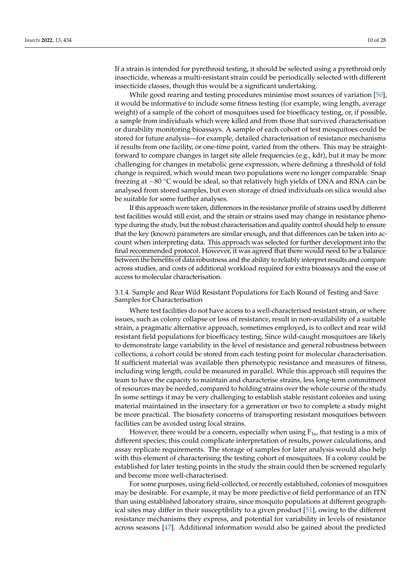If a strain is intended for pyrethroid testing, it should be selected using a pyrethroid only insecticide, whereas a multi-resistant strain could be periodically selected with different insecticide classes, though this would be a significant undertaking.

While good rearing and testing procedures minimise most sources of variation [\[50\]](#page-26-12), it would be informative to include some fitness testing (for example, wing length, average weight) of a sample of the cohort of mosquitoes used for bioefficacy testing, or, if possible, a sample from individuals which were killed and from those that survived characterisation or durability monitoring bioassays. A sample of each cohort of test mosquitoes could be stored for future analysis—for example, detailed characterisation of resistance mechanisms if results from one facility, or one-time point, varied from the others. This may be straightforward to compare changes in target site allele frequencies (e.g., kdr), but it may be more challenging for changes in metabolic gene expression, where defining a threshold of fold change is required, which would mean two populations were no longer comparable. Snap freezing at −80 ◦C would be ideal, so that relatively high yields of DNA and RNA can be analysed from stored samples, but even storage of dried individuals on silica would also be suitable for some further analyses.

If this approach were taken, differences in the resistance profile of strains used by different test facilities would still exist, and the strain or strains used may change in resistance phenotype during the study, but the robust characterisation and quality control should help to ensure that the key (known) parameters are similar enough, and that differences can be taken into account when interpreting data. This approach was selected for further development into the final recommended protocol. However, it was agreed that there would need to be a balance between the benefits of data robustness and the ability to reliably interpret results and compare across studies, and costs of additional workload required for extra bioassays and the ease of access to molecular characterisation.

3.1.4. Sample and Rear Wild Resistant Populations for Each Round of Testing and Save Samples for Characterisation

Where test facilities do not have access to a well-characterised resistant strain, or where issues, such as colony collapse or loss of resistance, result in non-availability of a suitable strain, a pragmatic alternative approach, sometimes employed, is to collect and rear wild resistant field populations for bioefficacy testing. Since wild-caught mosquitoes are likely to demonstrate large variability in the level of resistance and general robustness between collections, a cohort could be stored from each testing point for molecular characterisation. If sufficient material was available then phenotypic resistance and measures of fitness, including wing length, could be measured in parallel. While this approach still requires the team to have the capacity to maintain and characterise strains, less long-term commitment of resources may be needed, compared to holding strains over the whole course of the study. In some settings it may be very challenging to establish stable resistant colonies and using material maintained in the insectary for a generation or two to complete a study might be more practical. The biosafety concerns of transporting resistant mosquitoes between facilities can be avoided using local strains.

However, there would be a concern, especially when using  $F_{1s}$ , that testing is a mix of different species; this could complicate interpretation of results, power calculations, and assay replicate requirements. The storage of samples for later analysis would also help with this element of characterising the testing cohort of mosquitoes. If a colony could be established for later testing points in the study the strain could then be screened regularly and become more well-characterised.

For some purposes, using field-collected, or recently established, colonies of mosquitoes may be desirable. For example, it may be more predictive of field performance of an ITN than using established laboratory strains, since mosquito populations at different geographical sites may differ in their susceptibility to a given product [\[51\]](#page-26-13), owing to the different resistance mechanisms they express, and potential for variability in levels of resistance across seasons [\[47\]](#page-26-9). Additional information would also be gained about the predicted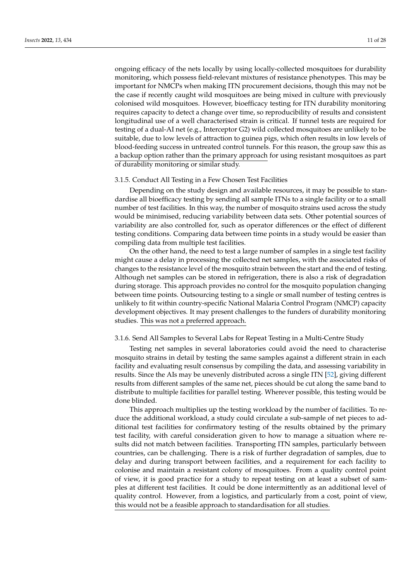ongoing efficacy of the nets locally by using locally-collected mosquitoes for durability monitoring, which possess field-relevant mixtures of resistance phenotypes. This may be important for NMCPs when making ITN procurement decisions, though this may not be the case if recently caught wild mosquitoes are being mixed in culture with previously colonised wild mosquitoes. However, bioefficacy testing for ITN durability monitoring requires capacity to detect a change over time, so reproducibility of results and consistent longitudinal use of a well characterised strain is critical. If tunnel tests are required for testing of a dual-AI net (e.g., Interceptor G2) wild collected mosquitoes are unlikely to be suitable, due to low levels of attraction to guinea pigs, which often results in low levels of blood-feeding success in untreated control tunnels. For this reason, the group saw this as a backup option rather than the primary approach for using resistant mosquitoes as part of durability monitoring or similar study.

#### 3.1.5. Conduct All Testing in a Few Chosen Test Facilities

Depending on the study design and available resources, it may be possible to standardise all bioefficacy testing by sending all sample ITNs to a single facility or to a small number of test facilities. In this way, the number of mosquito strains used across the study would be minimised, reducing variability between data sets. Other potential sources of variability are also controlled for, such as operator differences or the effect of different testing conditions. Comparing data between time points in a study would be easier than compiling data from multiple test facilities.

On the other hand, the need to test a large number of samples in a single test facility might cause a delay in processing the collected net samples, with the associated risks of changes to the resistance level of the mosquito strain between the start and the end of testing. Although net samples can be stored in refrigeration, there is also a risk of degradation during storage. This approach provides no control for the mosquito population changing between time points. Outsourcing testing to a single or small number of testing centres is unlikely to fit within country-specific National Malaria Control Program (NMCP) capacity development objectives. It may present challenges to the funders of durability monitoring studies. This was not a preferred approach.

# 3.1.6. Send All Samples to Several Labs for Repeat Testing in a Multi-Centre Study

Testing net samples in several laboratories could avoid the need to characterise mosquito strains in detail by testing the same samples against a different strain in each facility and evaluating result consensus by compiling the data, and assessing variability in results. Since the AIs may be unevenly distributed across a single ITN [\[52\]](#page-26-14), giving different results from different samples of the same net, pieces should be cut along the same band to distribute to multiple facilities for parallel testing. Wherever possible, this testing would be done blinded.

This approach multiplies up the testing workload by the number of facilities. To reduce the additional workload, a study could circulate a sub-sample of net pieces to additional test facilities for confirmatory testing of the results obtained by the primary test facility, with careful consideration given to how to manage a situation where results did not match between facilities. Transporting ITN samples, particularly between countries, can be challenging. There is a risk of further degradation of samples, due to delay and during transport between facilities, and a requirement for each facility to colonise and maintain a resistant colony of mosquitoes. From a quality control point of view, it is good practice for a study to repeat testing on at least a subset of samples at different test facilities. It could be done intermittently as an additional level of quality control. However, from a logistics, and particularly from a cost, point of view, this would not be a feasible approach to standardisation for all studies.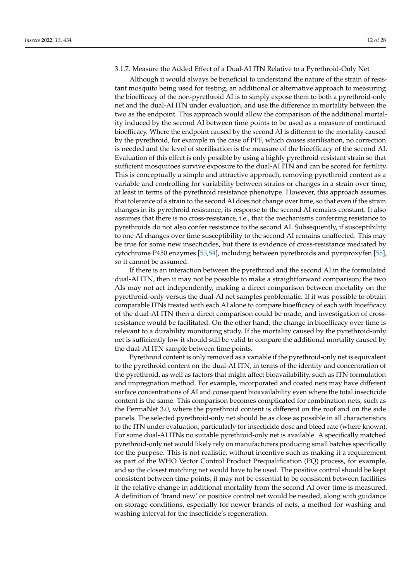# 3.1.7. Measure the Added Effect of a Dual-AI ITN Relative to a Pyrethroid-Only Net

Although it would always be beneficial to understand the nature of the strain of resistant mosquito being used for testing, an additional or alternative approach to measuring the bioefficacy of the non-pyrethroid AI is to simply expose them to both a pyrethroid-only net and the dual-AI ITN under evaluation, and use the difference in mortality between the two as the endpoint. This approach would allow the comparison of the additional mortality induced by the second AI between time points to be used as a measure of continued bioefficacy. Where the endpoint caused by the second AI is different to the mortality caused by the pyrethroid, for example in the case of PPF, which causes sterilisation, no correction is needed and the level of sterilisation is the measure of the bioefficacy of the second AI. Evaluation of this effect is only possible by using a highly pyrethroid-resistant strain so that sufficient mosquitoes survive exposure to the dual-AI ITN and can be scored for fertility. This is conceptually a simple and attractive approach, removing pyrethroid content as a variable and controlling for variability between strains or changes in a strain over time, at least in terms of the pyrethroid resistance phenotype. However, this approach assumes that tolerance of a strain to the second AI does not change over time, so that even if the strain changes in its pyrethroid resistance, its response to the second AI remains constant. It also assumes that there is no cross-resistance, i.e., that the mechanisms conferring resistance to pyrethroids do not also confer resistance to the second AI. Subsequently, if susceptibility to one AI changes over time susceptibility to the second AI remains unaffected. This may be true for some new insecticides, but there is evidence of cross-resistance mediated by cytochrome P450 enzymes [\[53](#page-26-15)[,54\]](#page-26-16), including between pyrethroids and pyriproxyfen [\[55\]](#page-26-17), so it cannot be assumed.

If there is an interaction between the pyrethroid and the second AI in the formulated dual-AI ITN, then it may not be possible to make a straightforward comparison; the two AIs may not act independently, making a direct comparison between mortality on the pyrethroid-only versus the dual-AI net samples problematic. If it was possible to obtain comparable ITNs treated with each AI alone to compare bioefficacy of each with bioefficacy of the dual-AI ITN then a direct comparison could be made, and investigation of crossresistance would be facilitated. On the other hand, the change in bioefficacy over time is relevant to a durability monitoring study. If the mortality caused by the pyrethroid-only net is sufficiently low it should still be valid to compare the additional mortality caused by the dual-AI ITN sample between time points.

Pyrethroid content is only removed as a variable if the pyrethroid-only net is equivalent to the pyrethroid content on the dual-AI ITN, in terms of the identity and concentration of the pyrethroid, as well as factors that might affect bioavailability, such as ITN formulation and impregnation method. For example, incorporated and coated nets may have different surface concentrations of AI and consequent bioavailability even where the total insecticide content is the same. This comparison becomes complicated for combination nets, such as the PermaNet 3.0, where the pyrethroid content is different on the roof and on the side panels. The selected pyrethroid-only net should be as close as possible in all characteristics to the ITN under evaluation, particularly for insecticide dose and bleed rate (where known). For some dual-AI ITNs no suitable pyrethroid-only net is available. A specifically matched pyrethroid-only net would likely rely on manufacturers producing small batches specifically for the purpose. This is not realistic, without incentive such as making it a requirement as part of the WHO Vector Control Product Prequalification (PQ) process, for example, and so the closest matching net would have to be used. The positive control should be kept consistent between time points; it may not be essential to be consistent between facilities if the relative change in additional mortality from the second AI over time is measured. A definition of 'brand new' or positive control net would be needed, along with guidance on storage conditions, especially for newer brands of nets, a method for washing and washing interval for the insecticide's regeneration.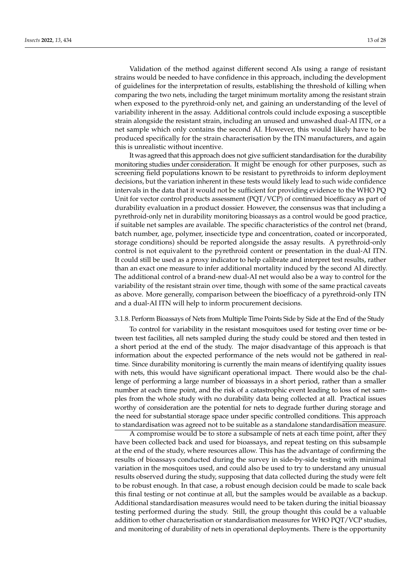Validation of the method against different second AIs using a range of resistant strains would be needed to have confidence in this approach, including the development of guidelines for the interpretation of results, establishing the threshold of killing when comparing the two nets, including the target minimum mortality among the resistant strain when exposed to the pyrethroid-only net, and gaining an understanding of the level of variability inherent in the assay. Additional controls could include exposing a susceptible strain alongside the resistant strain, including an unused and unwashed dual-AI ITN, or a net sample which only contains the second AI. However, this would likely have to be produced specifically for the strain characterisation by the ITN manufacturers, and again this is unrealistic without incentive.

It was agreed that this approach does not give sufficient standardisation for the durability monitoring studies under consideration. It might be enough for other purposes, such as screening field populations known to be resistant to pyrethroids to inform deployment decisions, but the variation inherent in these tests would likely lead to such wide confidence intervals in the data that it would not be sufficient for providing evidence to the WHO PQ Unit for vector control products assessment (PQT/VCP) of continued bioefficacy as part of durability evaluation in a product dossier. However, the consensus was that including a pyrethroid-only net in durability monitoring bioassays as a control would be good practice, if suitable net samples are available. The specific characteristics of the control net (brand, batch number, age, polymer, insecticide type and concentration, coated or incorporated, storage conditions) should be reported alongside the assay results. A pyrethroid-only control is not equivalent to the pyrethroid content or presentation in the dual-AI ITN. It could still be used as a proxy indicator to help calibrate and interpret test results, rather than an exact one measure to infer additional mortality induced by the second AI directly. The additional control of a brand-new dual-AI net would also be a way to control for the variability of the resistant strain over time, though with some of the same practical caveats as above. More generally, comparison between the bioefficacy of a pyrethroid-only ITN and a dual-AI ITN will help to inform procurement decisions.

## 3.1.8. Perform Bioassays of Nets from Multiple Time Points Side by Side at the End of the Study

To control for variability in the resistant mosquitoes used for testing over time or between test facilities, all nets sampled during the study could be stored and then tested in a short period at the end of the study. The major disadvantage of this approach is that information about the expected performance of the nets would not be gathered in realtime. Since durability monitoring is currently the main means of identifying quality issues with nets, this would have significant operational impact. There would also be the challenge of performing a large number of bioassays in a short period, rather than a smaller number at each time point, and the risk of a catastrophic event leading to loss of net samples from the whole study with no durability data being collected at all. Practical issues worthy of consideration are the potential for nets to degrade further during storage and the need for substantial storage space under specific controlled conditions. This approach to standardisation was agreed not to be suitable as a standalone standardisation measure.

A compromise would be to store a subsample of nets at each time point, after they have been collected back and used for bioassays, and repeat testing on this subsample at the end of the study, where resources allow. This has the advantage of confirming the results of bioassays conducted during the survey in side-by-side testing with minimal variation in the mosquitoes used, and could also be used to try to understand any unusual results observed during the study, supposing that data collected during the study were felt to be robust enough. In that case, a robust enough decision could be made to scale back this final testing or not continue at all, but the samples would be available as a backup. Additional standardisation measures would need to be taken during the initial bioassay testing performed during the study. Still, the group thought this could be a valuable addition to other characterisation or standardisation measures for WHO PQT/VCP studies, and monitoring of durability of nets in operational deployments. There is the opportunity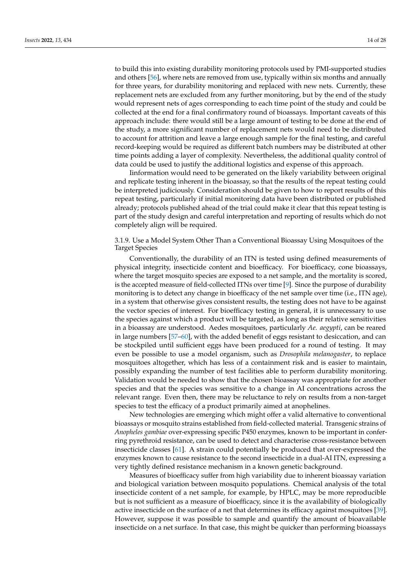to build this into existing durability monitoring protocols used by PMI-supported studies and others [\[56\]](#page-26-18), where nets are removed from use, typically within six months and annually for three years, for durability monitoring and replaced with new nets. Currently, these replacement nets are excluded from any further monitoring, but by the end of the study would represent nets of ages corresponding to each time point of the study and could be collected at the end for a final confirmatory round of bioassays. Important caveats of this approach include: there would still be a large amount of testing to be done at the end of the study, a more significant number of replacement nets would need to be distributed to account for attrition and leave a large enough sample for the final testing, and careful record-keeping would be required as different batch numbers may be distributed at other time points adding a layer of complexity. Nevertheless, the additional quality control of data could be used to justify the additional logistics and expense of this approach.

Iinformation would need to be generated on the likely variability between original and replicate testing inherent in the bioassay, so that the results of the repeat testing could be interpreted judiciously. Consideration should be given to how to report results of this repeat testing, particularly if initial monitoring data have been distributed or published already; protocols published ahead of the trial could make it clear that this repeat testing is part of the study design and careful interpretation and reporting of results which do not completely align will be required.

3.1.9. Use a Model System Other Than a Conventional Bioassay Using Mosquitoes of the Target Species

Conventionally, the durability of an ITN is tested using defined measurements of physical integrity, insecticide content and bioefficacy. For bioefficacy, cone bioassays, where the target mosquito species are exposed to a net sample, and the mortality is scored, is the accepted measure of field-collected ITNs over time [\[9\]](#page-24-8). Since the purpose of durability monitoring is to detect any change in bioefficacy of the net sample over time (i.e., ITN age), in a system that otherwise gives consistent results, the testing does not have to be against the vector species of interest. For bioefficacy testing in general, it is unnecessary to use the species against which a product will be targeted, as long as their relative sensitivities in a bioassay are understood. Aedes mosquitoes, particularly *Ae. aegypti*, can be reared in large numbers [\[57–](#page-26-19)[60\]](#page-26-20), with the added benefit of eggs resistant to desiccation, and can be stockpiled until sufficient eggs have been produced for a round of testing. It may even be possible to use a model organism, such as *Drosophila melanogaster*, to replace mosquitoes altogether, which has less of a containment risk and is easier to maintain, possibly expanding the number of test facilities able to perform durability monitoring. Validation would be needed to show that the chosen bioassay was appropriate for another species and that the species was sensitive to a change in AI concentrations across the relevant range. Even then, there may be reluctance to rely on results from a non-target species to test the efficacy of a product primarily aimed at anophelines.

New technologies are emerging which might offer a valid alternative to conventional bioassays or mosquito strains established from field-collected material. Transgenic strains of *Anopheles gambiae* over-expressing specific P450 enzymes, known to be important in conferring pyrethroid resistance, can be used to detect and characterise cross-resistance between insecticide classes [\[61\]](#page-26-21). A strain could potentially be produced that over-expressed the enzymes known to cause resistance to the second insecticide in a dual-AI ITN, expressing a very tightly defined resistance mechanism in a known genetic background.

Measures of bioefficacy suffer from high variability due to inherent bioassay variation and biological variation between mosquito populations. Chemical analysis of the total insecticide content of a net sample, for example, by HPLC, may be more reproducible but is not sufficient as a measure of bioefficacy, since it is the availability of biologically active insecticide on the surface of a net that determines its efficacy against mosquitoes [\[39\]](#page-26-1). However, suppose it was possible to sample and quantify the amount of bioavailable insecticide on a net surface. In that case, this might be quicker than performing bioassays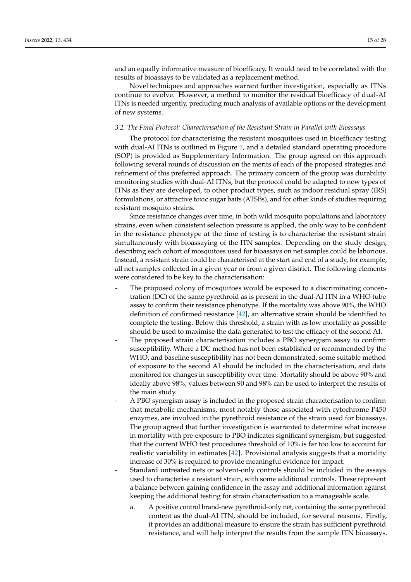and an equally informative measure of bioefficacy. It would need to be correlated with the results of bioassays to be validated as a replacement method.

Novel techniques and approaches warrant further investigation, especially as ITNs continue to evolve. However, a method to monitor the residual bioefficacy of dual-AI ITNs is needed urgently, precluding much analysis of available options or the development of new systems.

#### <span id="page-14-0"></span>*3.2. The Final Protocol: Characterisation of the Resistant Strain in Parallel with Bioassays*

The protocol for characterising the resistant mosquitoes used in bioefficacy testing with dual-AI ITNs is outlined in Figure [1,](#page-17-0) and a detailed standard operating procedure (SOP) is provided as Supplementary Information. The group agreed on this approach following several rounds of discussion on the merits of each of the proposed strategies and refinement of this preferred approach. The primary concern of the group was durability monitoring studies with dual-AI ITNs, but the protocol could be adapted to new types of ITNs as they are developed, to other product types, such as indoor residual spray (IRS) formulations, or attractive toxic sugar baits (ATSBs), and for other kinds of studies requiring resistant mosquito strains.

Since resistance changes over time, in both wild mosquito populations and laboratory strains, even when consistent selection pressure is applied, the only way to be confident in the resistance phenotype at the time of testing is to characterise the resistant strain simultaneously with bioassaying of the ITN samples. Depending on the study design, describing each cohort of mosquitoes used for bioassays on net samples could be laborious. Instead, a resistant strain could be characterised at the start and end of a study, for example, all net samples collected in a given year or from a given district. The following elements were considered to be key to the characterisation:

- The proposed colony of mosquitoes would be exposed to a discriminating concentration (DC) of the same pyrethroid as is present in the dual-AI ITN in a WHO tube assay to confirm their resistance phenotype. If the mortality was above 90%, the WHO definition of confirmed resistance [\[42\]](#page-26-4), an alternative strain should be identified to complete the testing. Below this threshold, a strain with as low mortality as possible should be used to maximise the data generated to test the efficacy of the second AI.
- The proposed strain characterisation includes a PBO synergism assay to confirm susceptibility. Where a DC method has not been established or recommended by the WHO, and baseline susceptibility has not been demonstrated, some suitable method of exposure to the second AI should be included in the characterisation, and data monitored for changes in susceptibility over time. Mortality should be above 90% and ideally above 98%; values between 90 and 98% can be used to interpret the results of the main study.
- A PBO synergism assay is included in the proposed strain characterisation to confirm that metabolic mechanisms, most notably those associated with cytochrome P450 enzymes, are involved in the pyrethroid resistance of the strain used for bioassays. The group agreed that further investigation is warranted to determine what increase in mortality with pre-exposure to PBO indicates significant synergism, but suggested that the current WHO test procedures threshold of 10% is far too low to account for realistic variability in estimates [\[42\]](#page-26-4). Provisional analysis suggests that a mortality increase of 30% is required to provide meaningful evidence for impact.
- Standard untreated nets or solvent-only controls should be included in the assays used to characterise a resistant strain, with some additional controls. These represent a balance between gaining confidence in the assay and additional information against keeping the additional testing for strain characterisation to a manageable scale.
	- a. A positive control brand-new pyrethroid-only net, containing the same pyrethroid content as the dual-AI ITN, should be included, for several reasons. Firstly, it provides an additional measure to ensure the strain has sufficient pyrethroid resistance, and will help interpret the results from the sample ITN bioassays.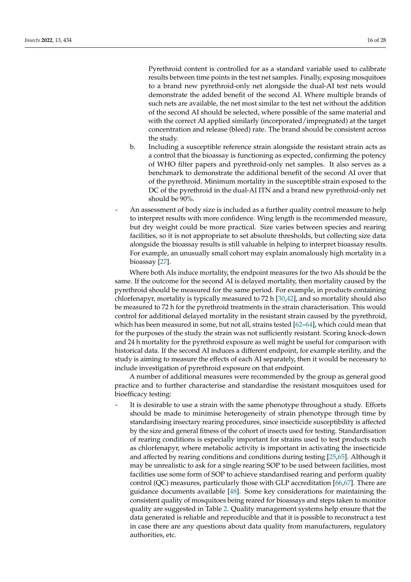Pyrethroid content is controlled for as a standard variable used to calibrate results between time points in the test net samples. Finally, exposing mosquitoes to a brand new pyrethroid-only net alongside the dual-AI test nets would demonstrate the added benefit of the second AI. Where multiple brands of such nets are available, the net most similar to the test net without the addition of the second AI should be selected, where possible of the same material and with the correct AI applied similarly (incorporated/impregnated) at the target concentration and release (bleed) rate. The brand should be consistent across the study.

- b. Including a susceptible reference strain alongside the resistant strain acts as a control that the bioassay is functioning as expected, confirming the potency of WHO filter papers and pyrethroid-only net samples. It also serves as a benchmark to demonstrate the additional benefit of the second AI over that of the pyrethroid. Minimum mortality in the susceptible strain exposed to the DC of the pyrethroid in the dual-AI ITN and a brand new pyrethroid-only net should be 90%.
- An assessment of body size is included as a further quality control measure to help to interpret results with more confidence. Wing length is the recommended measure, but dry weight could be more practical. Size varies between species and rearing facilities, so it is not appropriate to set absolute thresholds, but collecting size data alongside the bioassay results is still valuable in helping to interpret bioassay results. For example, an unusually small cohort may explain anomalously high mortality in a bioassay [\[27\]](#page-25-12).

Where both AIs induce mortality, the endpoint measures for the two AIs should be the same. If the outcome for the second AI is delayed mortality, then mortality caused by the pyrethroid should be measured for the same period. For example, in products containing chlorfenapyr, mortality is typically measured to 72 h [\[30](#page-25-14)[,42\]](#page-26-4), and so mortality should also be measured to 72 h for the pyrethroid treatments in the strain characterisation. This would control for additional delayed mortality in the resistant strain caused by the pyrethroid, which has been measured in some, but not all, strains tested [\[62–](#page-27-0)[64\]](#page-27-1), which could mean that for the purposes of the study the strain was not sufficiently resistant. Scoring knock-down and 24 h mortality for the pyrethroid exposure as well might be useful for comparison with historical data. If the second AI induces a different endpoint, for example sterility, and the study is aiming to measure the effects of each AI separately, then it would be necessary to include investigation of pyrethroid exposure on that endpoint.

A number of additional measures were recommended by the group as general good practice and to further characterise and standardise the resistant mosquitoes used for bioefficacy testing:

It is desirable to use a strain with the same phenotype throughout a study. Efforts should be made to minimise heterogeneity of strain phenotype through time by standardising insectary rearing procedures, since insecticide susceptibility is affected by the size and general fitness of the cohort of insects used for testing. Standardisation of rearing conditions is especially important for strains used to test products such as chlorfenapyr, where metabolic activity is important in activating the insecticide and affected by rearing conditions and conditions during testing [\[25](#page-25-10)[,65\]](#page-27-2). Although it may be unrealistic to ask for a single rearing SOP to be used between facilities, most facilities use some form of SOP to achieve standardised rearing and perform quality control (QC) measures, particularly those with GLP accreditation [\[66](#page-27-3)[,67\]](#page-27-4). There are guidance documents available [\[48\]](#page-26-10). Some key considerations for maintaining the consistent quality of mosquitoes being reared for bioassays and steps taken to monitor quality are suggested in Table [2.](#page-17-1) Quality management systems help ensure that the data generated is reliable and reproducible and that it is possible to reconstruct a test in case there are any questions about data quality from manufacturers, regulatory authorities, etc.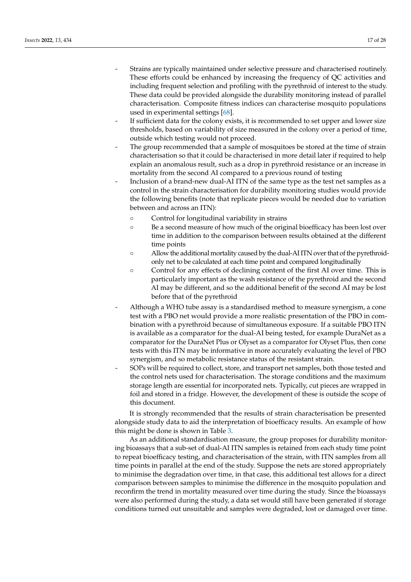- Strains are typically maintained under selective pressure and characterised routinely. These efforts could be enhanced by increasing the frequency of QC activities and including frequent selection and profiling with the pyrethroid of interest to the study. These data could be provided alongside the durability monitoring instead of parallel characterisation. Composite fitness indices can characterise mosquito populations used in experimental settings [\[68\]](#page-27-5).
- If sufficient data for the colony exists, it is recommended to set upper and lower size thresholds, based on variability of size measured in the colony over a period of time, outside which testing would not proceed.
- The group recommended that a sample of mosquitoes be stored at the time of strain characterisation so that it could be characterised in more detail later if required to help explain an anomalous result, such as a drop in pyrethroid resistance or an increase in mortality from the second AI compared to a previous round of testing
- Inclusion of a brand-new dual-AI ITN of the same type as the test net samples as a control in the strain characterisation for durability monitoring studies would provide the following benefits (note that replicate pieces would be needed due to variation between and across an ITN):
	- Control for longitudinal variability in strains
	- Be a second measure of how much of the original bioefficacy has been lost over time in addition to the comparison between results obtained at the different time points
	- Allow the additional mortality caused by the dual-AI ITN over that of the pyrethroidonly net to be calculated at each time point and compared longitudinally
	- Control for any effects of declining content of the first AI over time. This is particularly important as the wash resistance of the pyrethroid and the second AI may be different, and so the additional benefit of the second AI may be lost before that of the pyrethroid
- Although a WHO tube assay is a standardised method to measure synergism, a cone test with a PBO net would provide a more realistic presentation of the PBO in combination with a pyrethroid because of simultaneous exposure. If a suitable PBO ITN is available as a comparator for the dual-AI being tested, for example DuraNet as a comparator for the DuraNet Plus or Olyset as a comparator for Olyset Plus, then cone tests with this ITN may be informative in more accurately evaluating the level of PBO synergism, and so metabolic resistance status of the resistant strain.
- SOPs will be required to collect, store, and transport net samples, both those tested and the control nets used for characterisation. The storage conditions and the maximum storage length are essential for incorporated nets. Typically, cut pieces are wrapped in foil and stored in a fridge. However, the development of these is outside the scope of this document.

It is strongly recommended that the results of strain characterisation be presented alongside study data to aid the interpretation of bioefficacy results. An example of how this might be done is shown in Table [3.](#page-18-0)

As an additional standardisation measure, the group proposes for durability monitoring bioassays that a sub-set of dual-AI ITN samples is retained from each study time point to repeat bioefficacy testing, and characterisation of the strain, with ITN samples from all time points in parallel at the end of the study. Suppose the nets are stored appropriately to minimise the degradation over time, in that case, this additional test allows for a direct comparison between samples to minimise the difference in the mosquito population and reconfirm the trend in mortality measured over time during the study. Since the bioassays were also performed during the study, a data set would still have been generated if storage conditions turned out unsuitable and samples were degraded, lost or damaged over time.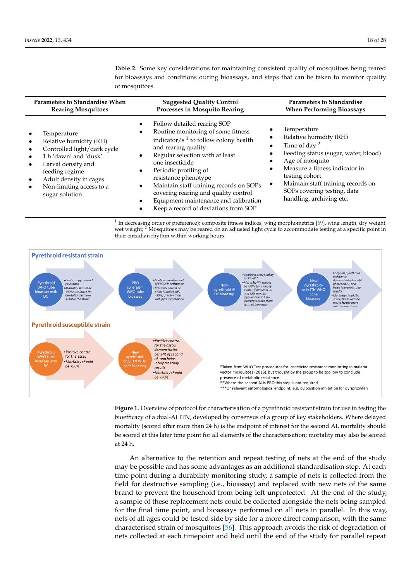<span id="page-17-1"></span>**Table 2.** Some key considerations for maintaining consistent quality of mosquitoes being reared for bioassays and conditions during bioassays, and steps that can be taken to monitor quality of mosquitoes.

| <b>Parameters to Standardise When</b>                                                                                                                                                                                                                             | <b>Suggested Quality Control</b>                                                                                                                                                                                                                                                                                                                                                                                                                                                | <b>Parameters to Standardise</b>                                                                                                                                                                                                                                                      |
|-------------------------------------------------------------------------------------------------------------------------------------------------------------------------------------------------------------------------------------------------------------------|---------------------------------------------------------------------------------------------------------------------------------------------------------------------------------------------------------------------------------------------------------------------------------------------------------------------------------------------------------------------------------------------------------------------------------------------------------------------------------|---------------------------------------------------------------------------------------------------------------------------------------------------------------------------------------------------------------------------------------------------------------------------------------|
| <b>Rearing Mosquitoes</b>                                                                                                                                                                                                                                         | Processes in Mosquito Rearing                                                                                                                                                                                                                                                                                                                                                                                                                                                   | <b>When Performing Bioassays</b>                                                                                                                                                                                                                                                      |
| Temperature<br>Relative humidity (RH)<br>$\bullet$<br>Controlled light/dark cycle<br>1 h 'dawn' and 'dusk'<br>Larval density and<br>$\bullet$<br>feeding regime<br>Adult density in cages<br>$\bullet$<br>Non-limiting access to a<br>$\bullet$<br>sugar solution | Follow detailed rearing SOP<br>Routine monitoring of some fitness<br>$\bullet$<br>indicator/ $s1$ to follow colony health<br>and rearing quality<br>Regular selection with at least<br>$\bullet$<br>one insecticide<br>Periodic profiling of<br>$\bullet$<br>resistance phenotype<br>Maintain staff training records on SOPs<br>$\bullet$<br>covering rearing and quality control<br>Equipment maintenance and calibration<br>$\bullet$<br>Keep a record of deviations from SOP | Temperature<br>Relative humidity (RH)<br>Time of day $2$<br>Feeding status (sugar, water, blood)<br>Age of mosquito<br>Measure a fitness indicator in<br>$\bullet$<br>testing cohort<br>Maintain staff training records on<br>SOPs covering testing, data<br>handling, archiving etc. |

<span id="page-17-0"></span><sup>1</sup> In decreasing order of preference): composite fitness indices, wing morphometrics [\[69\]](#page-27-6), wing length, dry weight, wet weight; <sup>2</sup> Mosquitoes may be reared on an adjusted light cycle to accommodate testing at a specific point in their circadian rhythm within working hours.



**Figure 1.** Overview of protocol for characterisation of a pyrethroid resistant strain for use in testing the bioefficacy of a dual-AI ITN, developed by consensus of a group of key stakeholders. Where bioefficacy of a dual-AI ITN, developed by consensus of a group of key stakeholders. Where delayed mortality (scored after more than 24 h) is the endpoint of interest for the second AI, mortality should mortality should be scored at this later time point for all elements of the characterisation; mortality be scored at this later time point for all elements of the characterisation; mortality may also be scored at 24 h. **Figure 1.** Overview of protocol for characterisation of a pyrethroid resistant strain for use in testing the

An alternative to the retention and repeat testing of nets at the end of the study may be possible and has some advantages as an additional standardisation step. At each time point during a durability monitoring study, a sample of nets is collected from the field for destructive sampling (i.e., bioassay) and replaced with new nets of the same brand to prevent the household from being left unprotected. At the end of the study, a sample of these replacement nets could be collected alongside the nets being sampled for the final time point, and bioassays performed on all nets in parallel. In this way, nets of all ages could be tested side by side for a more direct comparison, with the same characterised strain of mosquitoes [\[56\]](#page-26-18). This approach avoids the risk of degradation of nets collected at each timepoint and held until the end of the study for parallel repeat study. Since the bioassays were also performed during the study, a data set would still still still still still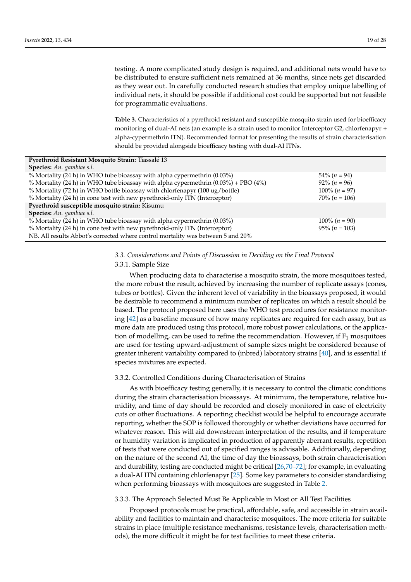testing. A more complicated study design is required, and additional nets would have to be distributed to ensure sufficient nets remained at 36 months, since nets get discarded as they wear out. In carefully conducted research studies that employ unique labelling of individual nets, it should be possible if additional cost could be supported but not feasible for programmatic evaluations.

<span id="page-18-0"></span>Table 3. Characteristics of a pyrethroid resistant and susceptible mosquito strain used for bioefficacy monitoring of dual-AI nets (an example is a strain used to monitor Interceptor G2, chlorfenapyr + alpha-cypermethrin ITN). Recommended format for presenting the results of strain characterisation should be provided alongside bioefficacy testing with dual-AI ITNs.

| Pyrethroid Resistant Mosquito Strain: Tiassalé 13                                    |                  |  |  |  |  |
|--------------------------------------------------------------------------------------|------------------|--|--|--|--|
| Species: An. gambiae s.l.                                                            |                  |  |  |  |  |
| % Mortality (24 h) in WHO tube bioassay with alpha cypermethrin (0.03%)              | $54\% (n = 94)$  |  |  |  |  |
| % Mortality (24 h) in WHO tube bioassay with alpha cypermethrin $(0.03%) + PBO (4%)$ | $92\% (n = 96)$  |  |  |  |  |
| % Mortality (72 h) in WHO bottle bioassay with chlorfenapyr (100 ug/bottle)          | $100\% (n = 97)$ |  |  |  |  |
| % Mortality (24 h) in cone test with new pyrethroid-only ITN (Interceptor)           | $70\% (n = 106)$ |  |  |  |  |
| Pyrethroid susceptible mosquito strain: Kisumu                                       |                  |  |  |  |  |
| Species: An. gambiae s.l.                                                            |                  |  |  |  |  |
| % Mortality (24 h) in WHO tube bioassay with alpha cypermethrin (0.03%)              | $100\% (n = 90)$ |  |  |  |  |
| % Mortality (24 h) in cone test with new pyrethroid-only ITN (Interceptor)           | $95\% (n = 103)$ |  |  |  |  |
| NB. All results Abbot's corrected where control mortality was between 5 and 20%      |                  |  |  |  |  |

# *3.3. Considerations and Points of Discussion in Deciding on the Final Protocol*

## 3.3.1. Sample Size

When producing data to characterise a mosquito strain, the more mosquitoes tested, the more robust the result, achieved by increasing the number of replicate assays (cones, tubes or bottles). Given the inherent level of variability in the bioassays proposed, it would be desirable to recommend a minimum number of replicates on which a result should be based. The protocol proposed here uses the WHO test procedures for resistance monitoring [\[42\]](#page-26-4) as a baseline measure of how many replicates are required for each assay, but as more data are produced using this protocol, more robust power calculations, or the application of modelling, can be used to refine the recommendation. However, if  $F_1$  mosquitoes are used for testing upward-adjustment of sample sizes might be considered because of greater inherent variability compared to (inbred) laboratory strains [\[40\]](#page-26-2), and is essential if species mixtures are expected.

# 3.3.2. Controlled Conditions during Characterisation of Strains

As with bioefficacy testing generally, it is necessary to control the climatic conditions during the strain characterisation bioassays. At minimum, the temperature, relative humidity, and time of day should be recorded and closely monitored in case of electricity cuts or other fluctuations. A reporting checklist would be helpful to encourage accurate reporting, whether the SOP is followed thoroughly or whether deviations have occurred for whatever reason. This will aid downstream interpretation of the results, and if temperature or humidity variation is implicated in production of apparently aberrant results, repetition of tests that were conducted out of specified ranges is advisable. Additionally, depending on the nature of the second AI, the time of day the bioassays, both strain characterisation and durability, testing are conducted might be critical [\[26](#page-25-11)[,70–](#page-27-7)[72\]](#page-27-8); for example, in evaluating a dual-AI ITN containing chlorfenapyr [\[25\]](#page-25-10). Some key parameters to consider standardising when performing bioassays with mosquitoes are suggested in Table [2.](#page-17-1)

## 3.3.3. The Approach Selected Must Be Applicable in Most or All Test Facilities

Proposed protocols must be practical, affordable, safe, and accessible in strain availability and facilities to maintain and characterise mosquitoes. The more criteria for suitable strains in place (multiple resistance mechanisms, resistance levels, characterisation methods), the more difficult it might be for test facilities to meet these criteria.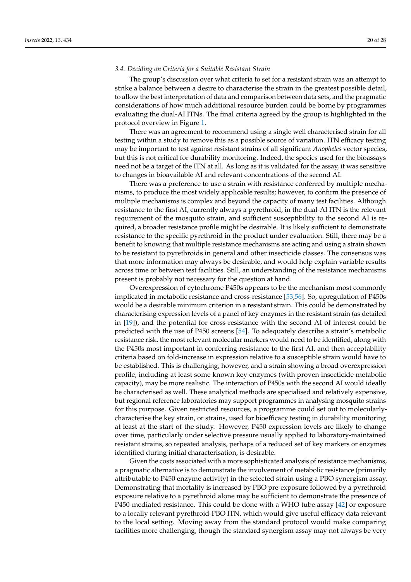## *3.4. Deciding on Criteria for a Suitable Resistant Strain*

The group's discussion over what criteria to set for a resistant strain was an attempt to strike a balance between a desire to characterise the strain in the greatest possible detail, to allow the best interpretation of data and comparison between data sets, and the pragmatic considerations of how much additional resource burden could be borne by programmes evaluating the dual-AI ITNs. The final criteria agreed by the group is highlighted in the protocol overview in Figure [1.](#page-17-0)

There was an agreement to recommend using a single well characterised strain for all testing within a study to remove this as a possible source of variation. ITN efficacy testing may be important to test against resistant strains of all significant *Anopheles* vector species, but this is not critical for durability monitoring. Indeed, the species used for the bioassays need not be a target of the ITN at all. As long as it is validated for the assay, it was sensitive to changes in bioavailable AI and relevant concentrations of the second AI.

There was a preference to use a strain with resistance conferred by multiple mechanisms, to produce the most widely applicable results; however, to confirm the presence of multiple mechanisms is complex and beyond the capacity of many test facilities. Although resistance to the first AI, currently always a pyrethroid, in the dual-AI ITN is the relevant requirement of the mosquito strain, and sufficient susceptibility to the second AI is required, a broader resistance profile might be desirable. It is likely sufficient to demonstrate resistance to the specific pyrethroid in the product under evaluation. Still, there may be a benefit to knowing that multiple resistance mechanisms are acting and using a strain shown to be resistant to pyrethroids in general and other insecticide classes. The consensus was that more information may always be desirable, and would help explain variable results across time or between test facilities. Still, an understanding of the resistance mechanisms present is probably not necessary for the question at hand.

Overexpression of cytochrome P450s appears to be the mechanism most commonly implicated in metabolic resistance and cross-resistance [\[53,](#page-26-15)[56\]](#page-26-18). So, upregulation of P450s would be a desirable minimum criterion in a resistant strain. This could be demonstrated by characterising expression levels of a panel of key enzymes in the resistant strain (as detailed in [\[19\]](#page-25-5)), and the potential for cross-resistance with the second AI of interest could be predicted with the use of P450 screens [\[54\]](#page-26-16). To adequately describe a strain's metabolic resistance risk, the most relevant molecular markers would need to be identified, along with the P450s most important in conferring resistance to the first AI, and then acceptability criteria based on fold-increase in expression relative to a susceptible strain would have to be established. This is challenging, however, and a strain showing a broad overexpression profile, including at least some known key enzymes (with proven insecticide metabolic capacity), may be more realistic. The interaction of P450s with the second AI would ideally be characterised as well. These analytical methods are specialised and relatively expensive, but regional reference laboratories may support programmes in analysing mosquito strains for this purpose. Given restricted resources, a programme could set out to molecularlycharacterise the key strain, or strains, used for bioefficacy testing in durability monitoring at least at the start of the study. However, P450 expression levels are likely to change over time, particularly under selective pressure usually applied to laboratory-maintained resistant strains, so repeated analysis, perhaps of a reduced set of key markers or enzymes identified during initial characterisation, is desirable.

Given the costs associated with a more sophisticated analysis of resistance mechanisms, a pragmatic alternative is to demonstrate the involvement of metabolic resistance (primarily attributable to P450 enzyme activity) in the selected strain using a PBO synergism assay. Demonstrating that mortality is increased by PBO pre-exposure followed by a pyrethroid exposure relative to a pyrethroid alone may be sufficient to demonstrate the presence of P450-mediated resistance. This could be done with a WHO tube assay [\[42\]](#page-26-4) or exposure to a locally relevant pyrethroid-PBO ITN, which would give useful efficacy data relevant to the local setting. Moving away from the standard protocol would make comparing facilities more challenging, though the standard synergism assay may not always be very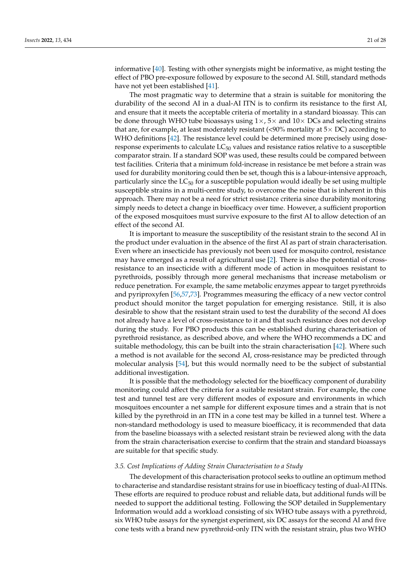informative [\[40\]](#page-26-2). Testing with other synergists might be informative, as might testing the effect of PBO pre-exposure followed by exposure to the second AI. Still, standard methods have not yet been established [\[41\]](#page-26-3).

The most pragmatic way to determine that a strain is suitable for monitoring the durability of the second AI in a dual-AI ITN is to confirm its resistance to the first AI, and ensure that it meets the acceptable criteria of mortality in a standard bioassay. This can be done through WHO tube bioassays using  $1 \times$ ,  $5 \times$  and  $10 \times DCs$  and selecting strains that are, for example, at least moderately resistant  $(<,90\%$  mortality at  $5\times$  DC) according to WHO definitions [\[42\]](#page-26-4). The resistance level could be determined more precisely using doseresponse experiments to calculate  $LC_{50}$  values and resistance ratios relative to a susceptible comparator strain. If a standard SOP was used, these results could be compared between test facilities. Criteria that a minimum fold-increase in resistance be met before a strain was used for durability monitoring could then be set, though this is a labour-intensive approach, particularly since the  $LC_{50}$  for a susceptible population would ideally be set using multiple susceptible strains in a multi-centre study, to overcome the noise that is inherent in this approach. There may not be a need for strict resistance criteria since durability monitoring simply needs to detect a change in bioefficacy over time. However, a sufficient proportion of the exposed mosquitoes must survive exposure to the first AI to allow detection of an effect of the second AI.

It is important to measure the susceptibility of the resistant strain to the second AI in the product under evaluation in the absence of the first AI as part of strain characterisation. Even where an insecticide has previously not been used for mosquito control, resistance may have emerged as a result of agricultural use [\[2\]](#page-24-1). There is also the potential of crossresistance to an insecticide with a different mode of action in mosquitoes resistant to pyrethroids, possibly through more general mechanisms that increase metabolism or reduce penetration. For example, the same metabolic enzymes appear to target pyrethroids and pyriproxyfen [\[56,](#page-26-18)[57,](#page-26-19)[73\]](#page-27-9). Programmes measuring the efficacy of a new vector control product should monitor the target population for emerging resistance. Still, it is also desirable to show that the resistant strain used to test the durability of the second AI does not already have a level of cross-resistance to it and that such resistance does not develop during the study. For PBO products this can be established during characterisation of pyrethroid resistance, as described above, and where the WHO recommends a DC and suitable methodology, this can be built into the strain characterisation [\[42\]](#page-26-4). Where such a method is not available for the second AI, cross-resistance may be predicted through molecular analysis [\[54\]](#page-26-16), but this would normally need to be the subject of substantial additional investigation.

It is possible that the methodology selected for the bioefficacy component of durability monitoring could affect the criteria for a suitable resistant strain. For example, the cone test and tunnel test are very different modes of exposure and environments in which mosquitoes encounter a net sample for different exposure times and a strain that is not killed by the pyrethroid in an ITN in a cone test may be killed in a tunnel test. Where a non-standard methodology is used to measure bioefficacy, it is recommended that data from the baseline bioassays with a selected resistant strain be reviewed along with the data from the strain characterisation exercise to confirm that the strain and standard bioassays are suitable for that specific study.

## *3.5. Cost Implications of Adding Strain Characterisation to a Study*

The development of this characterisation protocol seeks to outline an optimum method to characterise and standardise resistant strains for use in bioefficacy testing of dual-AI ITNs. These efforts are required to produce robust and reliable data, but additional funds will be needed to support the additional testing. Following the SOP detailed in Supplementary Information would add a workload consisting of six WHO tube assays with a pyrethroid, six WHO tube assays for the synergist experiment, six DC assays for the second AI and five cone tests with a brand new pyrethroid-only ITN with the resistant strain, plus two WHO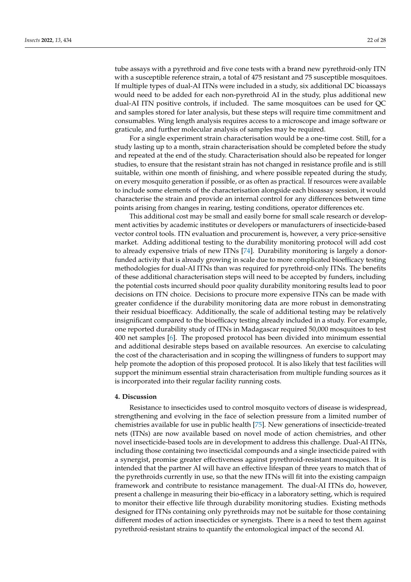tube assays with a pyrethroid and five cone tests with a brand new pyrethroid-only ITN with a susceptible reference strain, a total of 475 resistant and 75 susceptible mosquitoes. If multiple types of dual-AI ITNs were included in a study, six additional DC bioassays would need to be added for each non-pyrethroid AI in the study, plus additional new dual-AI ITN positive controls, if included. The same mosquitoes can be used for QC and samples stored for later analysis, but these steps will require time commitment and consumables. Wing length analysis requires access to a microscope and image software or graticule, and further molecular analysis of samples may be required.

For a single experiment strain characterisation would be a one-time cost. Still, for a study lasting up to a month, strain characterisation should be completed before the study and repeated at the end of the study. Characterisation should also be repeated for longer studies, to ensure that the resistant strain has not changed in resistance profile and is still suitable, within one month of finishing, and where possible repeated during the study, on every mosquito generation if possible, or as often as practical. If resources were available to include some elements of the characterisation alongside each bioassay session, it would characterise the strain and provide an internal control for any differences between time points arising from changes in rearing, testing conditions, operator differences etc.

This additional cost may be small and easily borne for small scale research or development activities by academic institutes or developers or manufacturers of insecticide-based vector control tools. ITN evaluation and procurement is, however, a very price-sensitive market. Adding additional testing to the durability monitoring protocol will add cost to already expensive trials of new ITNs [\[74\]](#page-27-10). Durability monitoring is largely a donorfunded activity that is already growing in scale due to more complicated bioefficacy testing methodologies for dual-AI ITNs than was required for pyrethroid-only ITNs. The benefits of these additional characterisation steps will need to be accepted by funders, including the potential costs incurred should poor quality durability monitoring results lead to poor decisions on ITN choice. Decisions to procure more expensive ITNs can be made with greater confidence if the durability monitoring data are more robust in demonstrating their residual bioefficacy. Additionally, the scale of additional testing may be relatively insignificant compared to the bioefficacy testing already included in a study. For example, one reported durability study of ITNs in Madagascar required 50,000 mosquitoes to test 400 net samples [\[6\]](#page-24-5). The proposed protocol has been divided into minimum essential and additional desirable steps based on available resources. An exercise to calculating the cost of the characterisation and in scoping the willingness of funders to support may help promote the adoption of this proposed protocol. It is also likely that test facilities will support the minimum essential strain characterisation from multiple funding sources as it is incorporated into their regular facility running costs.

## **4. Discussion**

Resistance to insecticides used to control mosquito vectors of disease is widespread, strengthening and evolving in the face of selection pressure from a limited number of chemistries available for use in public health [\[75\]](#page-27-11). New generations of insecticide-treated nets (ITNs) are now available based on novel mode of action chemistries, and other novel insecticide-based tools are in development to address this challenge. Dual-AI ITNs, including those containing two insecticidal compounds and a single insecticide paired with a synergist, promise greater effectiveness against pyrethroid-resistant mosquitoes. It is intended that the partner AI will have an effective lifespan of three years to match that of the pyrethroids currently in use, so that the new ITNs will fit into the existing campaign framework and contribute to resistance management. The dual-AI ITNs do, however, present a challenge in measuring their bio-efficacy in a laboratory setting, which is required to monitor their effective life through durability monitoring studies. Existing methods designed for ITNs containing only pyrethroids may not be suitable for those containing different modes of action insecticides or synergists. There is a need to test them against pyrethroid-resistant strains to quantify the entomological impact of the second AI.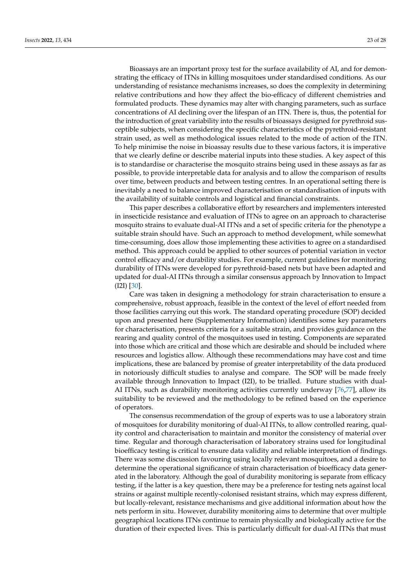Bioassays are an important proxy test for the surface availability of AI, and for demonstrating the efficacy of ITNs in killing mosquitoes under standardised conditions. As our understanding of resistance mechanisms increases, so does the complexity in determining relative contributions and how they affect the bio-efficacy of different chemistries and formulated products. These dynamics may alter with changing parameters, such as surface concentrations of AI declining over the lifespan of an ITN. There is, thus, the potential for the introduction of great variability into the results of bioassays designed for pyrethroid susceptible subjects, when considering the specific characteristics of the pyrethroid-resistant strain used, as well as methodological issues related to the mode of action of the ITN. To help minimise the noise in bioassay results due to these various factors, it is imperative that we clearly define or describe material inputs into these studies. A key aspect of this is to standardise or characterise the mosquito strains being used in these assays as far as possible, to provide interpretable data for analysis and to allow the comparison of results over time, between products and between testing centres. In an operational setting there is inevitably a need to balance improved characterisation or standardisation of inputs with the availability of suitable controls and logistical and financial constraints.

This paper describes a collaborative effort by researchers and implementers interested in insecticide resistance and evaluation of ITNs to agree on an approach to characterise mosquito strains to evaluate dual-AI ITNs and a set of specific criteria for the phenotype a suitable strain should have. Such an approach to method development, while somewhat time-consuming, does allow those implementing these activities to agree on a standardised method. This approach could be applied to other sources of potential variation in vector control efficacy and/or durability studies. For example, current guidelines for monitoring durability of ITNs were developed for pyrethroid-based nets but have been adapted and updated for dual-AI ITNs through a similar consensus approach by Innovation to Impact (I2I) [\[30\]](#page-25-14).

Care was taken in designing a methodology for strain characterisation to ensure a comprehensive, robust approach, feasible in the context of the level of effort needed from those facilities carrying out this work. The standard operating procedure (SOP) decided upon and presented here (Supplementary Information) identifies some key parameters for characterisation, presents criteria for a suitable strain, and provides guidance on the rearing and quality control of the mosquitoes used in testing. Components are separated into those which are critical and those which are desirable and should be included where resources and logistics allow. Although these recommendations may have cost and time implications, these are balanced by promise of greater interpretability of the data produced in notoriously difficult studies to analyse and compare. The SOP will be made freely available through Innovation to Impact (I2I), to be trialled. Future studies with dual-AI ITNs, such as durability monitoring activities currently underway [\[76,](#page-27-12)[77\]](#page-27-13), allow its suitability to be reviewed and the methodology to be refined based on the experience of operators.

The consensus recommendation of the group of experts was to use a laboratory strain of mosquitoes for durability monitoring of dual-AI ITNs, to allow controlled rearing, quality control and characterisation to maintain and monitor the consistency of material over time. Regular and thorough characterisation of laboratory strains used for longitudinal bioefficacy testing is critical to ensure data validity and reliable interpretation of findings. There was some discussion favouring using locally relevant mosquitoes, and a desire to determine the operational significance of strain characterisation of bioefficacy data generated in the laboratory. Although the goal of durability monitoring is separate from efficacy testing, if the latter is a key question, there may be a preference for testing nets against local strains or against multiple recently-colonised resistant strains, which may express different, but locally-relevant, resistance mechanisms and give additional information about how the nets perform in situ. However, durability monitoring aims to determine that over multiple geographical locations ITNs continue to remain physically and biologically active for the duration of their expected lives. This is particularly difficult for dual-AI ITNs that must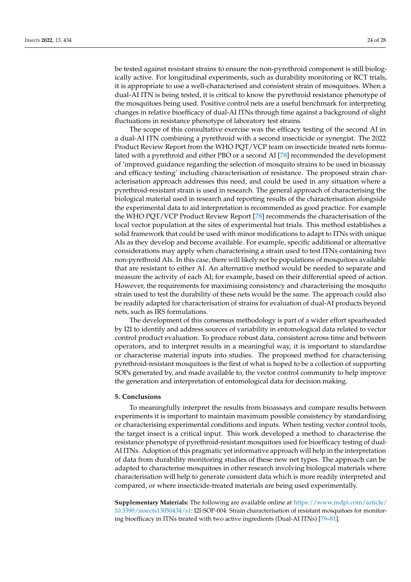be tested against resistant strains to ensure the non-pyrethroid component is still biologically active. For longitudinal experiments, such as durability monitoring or RCT trials, it is appropriate to use a well-characterised and consistent strain of mosquitoes. When a dual-AI ITN is being tested, it is critical to know the pyrethroid resistance phenotype of the mosquitoes being used. Positive control nets are a useful benchmark for interpreting changes in relative bioefficacy of dual-AI ITNs through time against a background of slight fluctuations in resistance phenotype of laboratory test strains.

The scope of this consultative exercise was the efficacy testing of the second AI in a dual-AI ITN combining a pyrethroid with a second insecticide or synergist. The 2022 Product Review Report from the WHO PQT/VCP team on insecticide treated nets formulated with a pyrethroid and either PBO or a second AI [\[78\]](#page-27-14) recommended the development of 'improved guidance regarding the selection of mosquito strains to be used in bioassay and efficacy testing' including characterisation of resistance. The proposed strain characterisation approach addresses this need, and could be used in any situation where a pyrethroid-resistant strain is used in research. The general approach of characterising the biological material used in research and reporting results of the characterisation alongside the experimental data to aid interpretation is recommended as good practice. For example the WHO PQT/VCP Product Review Report [\[78\]](#page-27-14) recommends the characterisation of the local vector population at the sites of experimental hut trials. This method establishes a solid framework that could be used with minor modifications to adapt to ITNs with unique AIs as they develop and become available. For example, specific additional or alternative considerations may apply when characterising a strain used to test ITNs containing two non-pyrethroid AIs. In this case, there will likely not be populations of mosquitoes available that are resistant to either AI. An alternative method would be needed to separate and measure the activity of each AI; for example, based on their differential speed of action. However, the requirements for maximising consistency and characterising the mosquito strain used to test the durability of these nets would be the same. The approach could also be readily adapted for characterisation of strains for evaluation of dual-AI products beyond nets, such as IRS formulations.

The development of this consensus methodology is part of a wider effort spearheaded by I2I to identify and address sources of variability in entomological data related to vector control product evaluation. To produce robust data, consistent across time and between operators, and to interpret results in a meaningful way, it is important to standardise or characterise material inputs into studies. The proposed method for characterising pyrethroid-resistant mosquitoes is the first of what is hoped to be a collection of supporting SOPs generated by, and made available to, the vector control community to help improve the generation and interpretation of entomological data for decision making.

## **5. Conclusions**

To meaningfully interpret the results from bioassays and compare results between experiments it is important to maintain maximum possible consistency by standardising or characterising experimental conditions and inputs. When testing vector control tools, the target insect is a critical input. This work developed a method to characterise the resistance phenotype of pyrethroid-resistant mosquitoes used for bioefficacy testing of dual-AI ITNs. Adoption of this pragmatic yet informative approach will help in the interpretation of data from durability monitoring studies of these new net types. The approach can be adapted to characterise mosquitoes in other research involving biological materials where characterisation will help to generate consistent data which is more readily interpreted and compared, or where insecticide-treated materials are being used experimentally.

**Supplementary Materials:** The following are available online at [https://www.mdpi.com/article/](https://www.mdpi.com/article/10.3390/insects13050434/s1) [10.3390/insects13050434/s1:](https://www.mdpi.com/article/10.3390/insects13050434/s1) I2I-SOP-004: Strain characterisation of resistant mosquitoes for monitoring bioefficacy in ITNs treated with two active ingredients (Dual-AI ITNs) [\[79](#page-27-15)[–81\]](#page-27-16).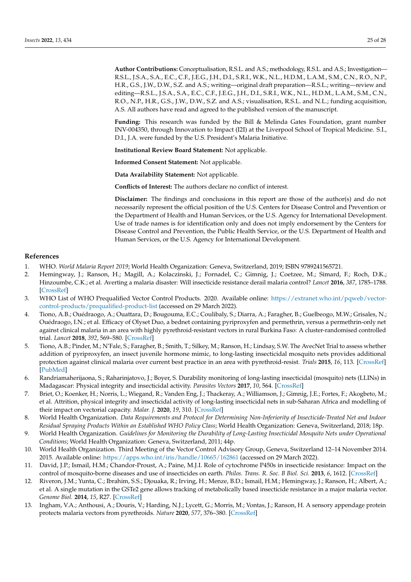**Author Contributions:** Conceptualisation, R.S.L. and A.S.; methodology, R.S.L. and A.S.; Investigation— R.S.L., J.S.A., S.A., E.C., C.F., J.E.G., J.H., D.I., S.R.I., W.K., N.L., H.D.M., L.A.M., S.M., C.N., R.O., N.P., H.R., G.S., J.W., D.W., S.Z. and A.S.; writing—original draft preparation—R.S.L.; writing—review and editing—R.S.L., J.S.A., S.A., E.C., C.F., J.E.G., J.H., D.I., S.R.I., W.K., N.L., H.D.M., L.A.M., S.M., C.N., R.O., N.P., H.R., G.S., J.W., D.W., S.Z. and A.S.; visualisation, R.S.L. and N.L.; funding acquisition, A.S. All authors have read and agreed to the published version of the manuscript.

**Funding:** This research was funded by the Bill & Melinda Gates Foundation, grant number INV-004350, through Innovation to Impact (I2I) at the Liverpool School of Tropical Medicine. S.I., D.I., J.A. were funded by the U.S. President's Malaria Initiative.

**Institutional Review Board Statement:** Not applicable.

**Informed Consent Statement:** Not applicable.

**Data Availability Statement:** Not applicable.

**Conflicts of Interest:** The authors declare no conflict of interest.

**Disclaimer:** The findings and conclusions in this report are those of the author(s) and do not necessarily represent the official position of the U.S. Centers for Disease Control and Prevention or the Department of Health and Human Services, or the U.S. Agency for International Development. Use of trade names is for identification only and does not imply endorsement by the Centers for Disease Control and Prevention, the Public Health Service, or the U.S. Department of Health and Human Services, or the U.S. Agency for International Development.

# **References**

- <span id="page-24-0"></span>1. WHO. *World Malaria Report 2019*; World Health Organization: Geneva, Switzerland, 2019; ISBN 9789241565721.
- <span id="page-24-1"></span>2. Hemingway, J.; Ranson, H.; Magill, A.; Kolaczinski, J.; Fornadel, C.; Gimnig, J.; Coetzee, M.; Simard, F.; Roch, D.K.; Hinzoumbe, C.K.; et al. Averting a malaria disaster: Will insecticide resistance derail malaria control? *Lancet* **2016**, *387*, 1785–1788. [\[CrossRef\]](http://doi.org/10.1016/S0140-6736(15)00417-1)
- <span id="page-24-2"></span>3. WHO List of WHO Prequalified Vector Control Products. 2020. Available online: [https://extranet.who.int/pqweb/vector](https://extranet.who.int/pqweb/vector-control-products/prequalified-product-list)[control-products/prequalified-product-list](https://extranet.who.int/pqweb/vector-control-products/prequalified-product-list) (accessed on 29 March 2022).
- <span id="page-24-3"></span>4. Tiono, A.B.; Ouédraogo, A.; Ouattara, D.; Bougouma, E.C.; Coulibaly, S.; Diarra, A.; Faragher, B.; Guelbeogo, M.W.; Grisales, N.; Ouédraogo, I.N.; et al. Efficacy of Olyset Duo, a bednet containing pyriproxyfen and permethrin, versus a permethrin-only net against clinical malaria in an area with highly pyrethroid-resistant vectors in rural Burkina Faso: A cluster-randomised controlled trial. *Lancet* **2018**, *392*, 569–580. [\[CrossRef\]](http://doi.org/10.1016/S0140-6736(18)31711-2)
- <span id="page-24-4"></span>5. Tiono, A.B.; Pinder, M.; N'Fale, S.; Faragher, B.; Smith, T.; Silkey, M.; Ranson, H.; Lindsay, S.W. The AvecNet Trial to assess whether addition of pyriproxyfen, an insect juvenile hormone mimic, to long-lasting insecticidal mosquito nets provides additional protection against clinical malaria over current best practice in an area with pyrethroid-resist. *Trials* **2015**, *16*, 113. [\[CrossRef\]](http://doi.org/10.1186/s13063-015-0606-4) [\[PubMed\]](http://www.ncbi.nlm.nih.gov/pubmed/25873089)
- <span id="page-24-5"></span>6. Randriamaherijaona, S.; Raharinjatovo, J.; Boyer, S. Durability monitoring of long-lasting insecticidal (mosquito) nets (LLINs) in Madagascar: Physical integrity and insecticidal activity. *Parasites Vectors* **2017**, *10*, 564. [\[CrossRef\]](http://doi.org/10.1186/s13071-017-2419-7)
- <span id="page-24-6"></span>7. Briet, O.; Koenker, H.; Norris, L.; Wiegand, R.; Vanden Eng, J.; Thackeray, A.; Williamson, J.; Gimnig, J.E.; Fortes, F.; Akogbeto, M.; et al. Attrition, physical integrity and insecticidal activity of long-lasting insecticidal nets in sub-Saharan Africa and modelling of their impact on vectorial capacity. *Malar. J.* **2020**, *19*, 310. [\[CrossRef\]](http://doi.org/10.1186/s12936-020-03383-6)
- <span id="page-24-7"></span>8. World Health Organization. *Data Requirements and Protocol for Determining Non-Inferiority of Insecticide-Treated Net and Indoor Residual Spraying Products Within an Established WHO Policy Class*; World Health Organization: Geneva, Switzerland, 2018; 18p.
- <span id="page-24-8"></span>9. World Health Organization. *Guidelines for Monitoring the Durability of Long-Lasting Insecticidal Mosquito Nets under Operational Conditions*; World Health Organization: Geneva, Switzerland, 2011; 44p.
- <span id="page-24-9"></span>10. World Health Organization. Third Meeting of the Vector Control Advisory Group, Geneva, Switzerland 12–14 November 2014. 2015. Available online: <https://apps.who.int/iris/handle/10665/162861> (accessed on 29 March 2022).
- <span id="page-24-10"></span>11. David, J.P.; Ismail, H.M.; Chandor-Proust, A.; Paine, M.J.I. Role of cytochrome P450s in insecticide resistance: Impact on the control of mosquito-borne diseases and use of insecticides on earth. *Philos. Trans. R. Soc. B Biol. Sci.* **2013**, *6*, 1612. [\[CrossRef\]](http://doi.org/10.1098/rstb.2012.0429)
- <span id="page-24-11"></span>12. Riveron, J.M.; Yunta, C.; Ibrahim, S.S.; Djouaka, R.; Irving, H.; Menze, B.D.; Ismail, H.M.; Hemingway, J.; Ranson, H.; Albert, A.; et al. A single mutation in the GSTe2 gene allows tracking of metabolically based insecticide resistance in a major malaria vector. *Genome Biol.* **2014**, *15*, R27. [\[CrossRef\]](http://doi.org/10.1186/gb-2014-15-2-r27)
- <span id="page-24-12"></span>13. Ingham, V.A.; Anthousi, A.; Douris, V.; Harding, N.J.; Lycett, G.; Morris, M.; Vontas, J.; Ranson, H. A sensory appendage protein protects malaria vectors from pyrethroids. *Nature* **2020**, *577*, 376–380. [\[CrossRef\]](http://doi.org/10.1038/s41586-019-1864-1)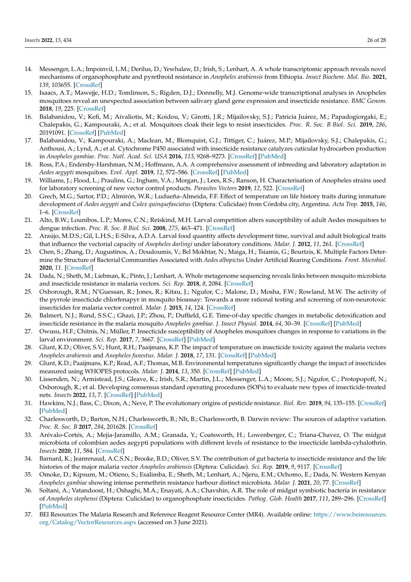- <span id="page-25-0"></span>14. Messenger, L.A.; Impoinvil, L.M.; Derilus, D.; Yewhalaw, D.; Irish, S.; Lenhart, A. A whole transcriptomic approach reveals novel mechanisms of organophosphate and pyrethroid resistance in *Anopheles arabiensis* from Ethiopia. *Insect Biochem. Mol. Bio.* **2021**, *139*, 103655. [\[CrossRef\]](http://doi.org/10.1016/j.ibmb.2021.103655)
- <span id="page-25-1"></span>15. Isaacs, A.T.; Mawejje, H.D.; Tomlinson, S.; Rigden, D.J.; Donnelly, M.J. Genome-wide transcriptional analyses in Anopheles mosquitoes reveal an unexpected association between salivary gland gene expression and insecticide resistance. *BMC Genom.* **2018**, *19*, 225. [\[CrossRef\]](http://doi.org/10.1186/s12864-018-4605-1)
- <span id="page-25-2"></span>16. Balabanidou, V.; Kefi, M.; Aivaliotis, M.; Koidou, V.; Girotti, J.R.; Mijailovsky, S.J.; Patricia Juárez, M.; Papadogiorgaki, E.; Chalepakis, G.; Kampouraki, A.; et al. Mosquitoes cloak their legs to resist insecticides. *Proc. R. Soc. B Biol. Sci.* **2019**, *286*, 20191091. [\[CrossRef\]](http://doi.org/10.1098/rspb.2019.1091) [\[PubMed\]](http://www.ncbi.nlm.nih.gov/pubmed/31311476)
- <span id="page-25-3"></span>17. Balabanidou, V.; Kampouraki, A.; Maclean, M.; Blomquist, G.J.; Tittiger, C.; Juárez, M.P.; Mijailovsky, S.J.; Chalepakis, G.; Anthousi, A.; Lynd, A.; et al. Cytochrome P450 associated with insecticide resistance catalyzes cuticular hydrocarbon production in *Anopheles gambiae*. *Proc. Natl. Acad. Sci. USA* **2016**, *113*, 9268–9273. [\[CrossRef\]](http://doi.org/10.1073/pnas.1608295113) [\[PubMed\]](http://www.ncbi.nlm.nih.gov/pubmed/27439866)
- <span id="page-25-4"></span>18. Ross, P.A.; Endersby-Harshman, N.M.; Hoffmann, A.A. A comprehensive assessment of inbreeding and laboratory adaptation in *Aedes aegypti* mosquitoes. *Evol. Appl.* **2019**, *12*, 572–586. [\[CrossRef\]](http://doi.org/10.1111/eva.12740) [\[PubMed\]](http://www.ncbi.nlm.nih.gov/pubmed/30828375)
- <span id="page-25-5"></span>19. Williams, J.; Flood, L.; Praulins, G.; Ingham, V.A.; Morgan, J.; Lees, R.S.; Ranson, H. Characterisation of Anopheles strains used for laboratory screening of new vector control products. *Parasites Vectors* **2019**, *12*, 522. [\[CrossRef\]](http://doi.org/10.1186/s13071-019-3774-3)
- <span id="page-25-6"></span>20. Grech, M.G.; Sartor, P.D.; Almirón, W.R.; Ludueña-Almeida, F.F. Effect of temperature on life history traits during immature development of *Aedes aegypti* and *Culex quinquefasciatus* (Diptera: Culicidae) from Córdoba city, Argentina. *Acta Trop.* **2015**, *146*, 1–6. [\[CrossRef\]](http://doi.org/10.1016/j.actatropica.2015.02.010)
- 21. Alto, B.W.; Lounibos, L.P.; Mores, C.N.; Reiskind, M.H. Larval competition alters susceptibility of adult Aedes mosquitoes to dengue infection. *Proc. R. Soc. B Biol. Sci.* **2008**, *275*, 463–471. [\[CrossRef\]](http://doi.org/10.1098/rspb.2007.1497)
- <span id="page-25-7"></span>22. Araújo, M.D.S.; Gil, L.H.S.; E-Silva, A.D.A. Larval food quantity affects development time, survival and adult biological traits that influence the vectorial capacity of *Anopheles darlingi* under laboratory conditions. *Malar. J.* **2012**, *11*, 261. [\[CrossRef\]](http://doi.org/10.1186/1475-2875-11-261)
- <span id="page-25-8"></span>23. Chen, S.; Zhang, D.; Augustinos, A.; Doudoumis, V.; Bel Mokhtar, N.; Maiga, H.; Tsiamis, G.; Bourtzis, K. Multiple Factors Determine the Structure of Bacterial Communities Associated with *Aedes albopictus* Under Artificial Rearing Conditions. *Front. Microbiol.* **2020**, *11*. [\[CrossRef\]](http://doi.org/10.3389/fmicb.2020.00605)
- <span id="page-25-9"></span>24. Dada, N.; Sheth, M.; Liebman, K.; Pinto, J.; Lenhart, A. Whole metagenome sequencing reveals links between mosquito microbiota and insecticide resistance in malaria vectors. *Sci. Rep.* **2018**, *8*, 2084. [\[CrossRef\]](http://doi.org/10.1038/s41598-018-20367-4)
- <span id="page-25-10"></span>25. Oxborough, R.M.; N'Guessan, R.; Jones, R.; Kitau, J.; Ngufor, C.; Malone, D.; Mosha, F.W.; Rowland, M.W. The activity of the pyrrole insecticide chlorfenapyr in mosquito bioassay: Towards a more rational testing and screening of non-neurotoxic insecticides for malaria vector control. *Malar. J.* **2015**, *14*, 124. [\[CrossRef\]](http://doi.org/10.1186/s12936-015-0639-x)
- <span id="page-25-11"></span>26. Balmert, N.J.; Rund, S.S.C.; Ghazi, J.P.; Zhou, P.; Duffield, G.E. Time-of-day specific changes in metabolic detoxification and insecticide resistance in the malaria mosquito *Anopheles gambiae*. *J. Insect Physiol.* **2014**, *64*, 30–39. [\[CrossRef\]](http://doi.org/10.1016/j.jinsphys.2014.02.013) [\[PubMed\]](http://www.ncbi.nlm.nih.gov/pubmed/24631684)
- <span id="page-25-12"></span>27. Owusu, H.F.; Chitnis, N.; Müller, P. Insecticide susceptibility of Anopheles mosquitoes changes in response to variations in the larval environment. *Sci. Rep.* **2017**, *7*, 3667. [\[CrossRef\]](http://doi.org/10.1038/s41598-017-03918-z) [\[PubMed\]](http://www.ncbi.nlm.nih.gov/pubmed/28623302)
- <span id="page-25-20"></span>28. Glunt, K.D.; Oliver, S.V.; Hunt, R.H.; Paaijmans, K.P. The impact of temperature on insecticide toxicity against the malaria vectors *Anopheles arabiensis* and *Anopheles funestus*. *Malar. J.* **2018**, *17*, 131. [\[CrossRef\]](http://doi.org/10.1186/s12936-018-2250-4) [\[PubMed\]](http://www.ncbi.nlm.nih.gov/pubmed/29606123)
- <span id="page-25-13"></span>29. Glunt, K.D.; Paaijmans, K.P.; Read, A.F.; Thomas, M.B. Environmental temperatures significantly change the impact of insecticides measured using WHOPES protocols. *Malar. J.* **2014**, *13*, 350. [\[CrossRef\]](http://doi.org/10.1186/1475-2875-13-350) [\[PubMed\]](http://www.ncbi.nlm.nih.gov/pubmed/25187231)
- <span id="page-25-14"></span>30. Lissenden, N.; Armistead, J.S.; Gleave, K.; Irish, S.R.; Martin, J.L.; Messenger, L.A.; Moore, S.J.; Ngufor, C.; Protopopoff, N.; Oxborough, R.; et al. Developing consensus standard operating procedures (SOPs) to evaluate new types of insecticide-treated nets. *Insects* **2022**, *13*, 7. [\[CrossRef\]](http://doi.org/10.3390/insects13010007) [\[PubMed\]](http://www.ncbi.nlm.nih.gov/pubmed/35055850)
- <span id="page-25-15"></span>31. Hawkins, N.J.; Bass, C.; Dixon, A.; Neve, P. The evolutionary origins of pesticide resistance. *Biol. Rev.* **2019**, *94*, 135–155. [\[CrossRef\]](http://doi.org/10.1111/brv.12440) [\[PubMed\]](http://www.ncbi.nlm.nih.gov/pubmed/29971903)
- <span id="page-25-16"></span>32. Charlesworth, D.; Barton, N.H.; Charlesworth, B.; Nh, B.; Charlesworth, B. Darwin review: The sources of adaptive variation. *Proc. R. Soc. B* **2017**, *284*, 201628. [\[CrossRef\]](http://doi.org/10.1098/rspb.2016.2864)
- <span id="page-25-17"></span>33. Arévalo-Cortés, A.; Mejia-Jaramillo, A.M.; Granada, Y.; Coatsworth, H.; Lowenberger, C.; Triana-Chavez, O. The midgut microbiota of colombian aedes aegypti populations with different levels of resistance to the insecticide lambda-cyhalothrin. *Insects* **2020**, *11*, 584. [\[CrossRef\]](http://doi.org/10.3390/insects11090584)
- 34. Barnard, K.; Jeanrenaud, A.C.S.N.; Brooke, B.D.; Oliver, S.V. The contribution of gut bacteria to insecticide resistance and the life histories of the major malaria vector *Anopheles arabiensis* (Diptera: Culicidae). *Sci. Rep.* **2019**, *9*, 9117. [\[CrossRef\]](http://doi.org/10.1038/s41598-019-45499-z)
- 35. Omoke, D.; Kipsum, M.; Otieno, S.; Esalimba, E.; Sheth, M.; Lenhart, A.; Njeru, E.M.; Ochomo, E.; Dada, N. Western Kenyan *Anopheles gambiae* showing intense permethrin resistance harbour distinct microbiota. *Malar. J.* **2021**, *20*, 77. [\[CrossRef\]](http://doi.org/10.1186/s12936-021-03606-4)
- <span id="page-25-18"></span>36. Soltani, A.; Vatandoost, H.; Oshaghi, M.A.; Enayati, A.A.; Chavshin, A.R. The role of midgut symbiotic bacteria in resistance of *Anopheles stephensi* (Diptera: Culicidae) to organophosphate insecticides. *Pathog. Glob. Health* **2017**, *111*, 289–296. [\[CrossRef\]](http://doi.org/10.1080/20477724.2017.1356052) [\[PubMed\]](http://www.ncbi.nlm.nih.gov/pubmed/28745553)
- <span id="page-25-19"></span>37. BEI Resources The Malaria Research and Reference Reagent Resource Center (MR4). Available online: [https://www.beiresources.](https://www.beiresources.org/Catalog/VectorResources.aspx) [org/Catalog/VectorResources.aspx](https://www.beiresources.org/Catalog/VectorResources.aspx) (accessed on 3 June 2021).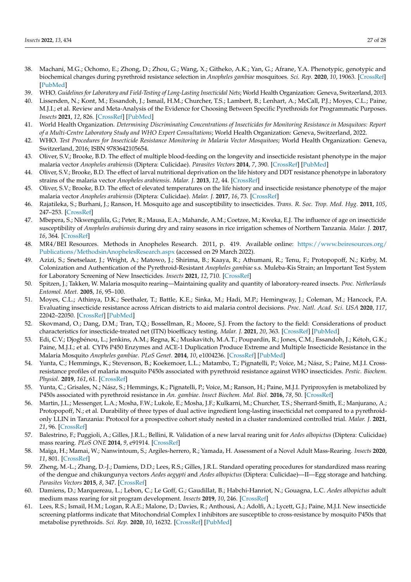- <span id="page-26-0"></span>38. Machani, M.G.; Ochomo, E.; Zhong, D.; Zhou, G.; Wang, X.; Githeko, A.K.; Yan, G.; Afrane, Y.A. Phenotypic, genotypic and biochemical changes during pyrethroid resistance selection in *Anopheles gambiae* mosquitoes. *Sci. Rep.* **2020**, *10*, 19063. [\[CrossRef\]](http://doi.org/10.1038/s41598-020-75865-1) [\[PubMed\]](http://www.ncbi.nlm.nih.gov/pubmed/33149227)
- <span id="page-26-1"></span>39. WHO. *Guidelines for Laboratory and Field-Testing of Long-Lasting Insecticidal Nets*; World Health Organization: Geneva, Switzerland, 2013.
- <span id="page-26-2"></span>40. Lissenden, N.; Kont, M.; Essandoh, J.; Ismail, H.M.; Churcher, T.S.; Lambert, B.; Lenhart, A.; McCall, P.J.; Moyes, C.L.; Paine, M.J.I.; et al. Review and Meta-Analysis of the Evidence for Choosing Between Specific Pyrethroids for Programmatic Purposes. *Insects* **2021**, *12*, 826. [\[CrossRef\]](http://doi.org/10.3390/insects12090826) [\[PubMed\]](http://www.ncbi.nlm.nih.gov/pubmed/34564266)
- <span id="page-26-3"></span>41. World Health Organization. *Determining Discriminating Concentrations of Insecticides for Monitoring Resistance in Mosquitoes: Report of a Multi-Centre Laboratory Study and WHO Expert Consultations*; World Health Organization: Geneva, Switzerland, 2022.
- <span id="page-26-4"></span>42. WHO. *Test Procedures for Insecticide Resistance Monitoring in Malaria Vector Mosquitoes*; World Health Organization: Geneva, Switzerland, 2016; ISBN 9783642105654.
- <span id="page-26-5"></span>43. Oliver, S.V.; Brooke, B.D. The effect of multiple blood-feeding on the longevity and insecticide resistant phenotype in the major malaria vector *Anopheles arabiensis* (Diptera: Culicidae). *Parasites Vectors* **2014**, *7*, 390. [\[CrossRef\]](http://doi.org/10.1186/1756-3305-7-390) [\[PubMed\]](http://www.ncbi.nlm.nih.gov/pubmed/25150975)
- <span id="page-26-6"></span>44. Oliver, S.V.; Brooke, B.D. The effect of larval nutritional deprivation on the life history and DDT resistance phenotype in laboratory strains of the malaria vector *Anopheles arabiensis*. *Malar. J.* **2013**, *12*, 44. [\[CrossRef\]](http://doi.org/10.1186/1475-2875-12-44)
- <span id="page-26-7"></span>45. Oliver, S.V.; Brooke, B.D. The effect of elevated temperatures on the life history and insecticide resistance phenotype of the major malaria vector *Anopheles arabiensis* (Diptera: Culicidae). *Malar. J.* **2017**, *16*, 73. [\[CrossRef\]](http://doi.org/10.1186/s12936-017-1720-4)
- <span id="page-26-8"></span>46. Rajatileka, S.; Burhani, J.; Ranson, H. Mosquito age and susceptibility to insecticides. *Trans. R. Soc. Trop. Med. Hyg.* **2011**, *105*, 247–253. [\[CrossRef\]](http://doi.org/10.1016/j.trstmh.2011.01.009)
- <span id="page-26-9"></span>47. Mbepera, S.; Nkwengulila, G.; Peter, R.; Mausa, E.A.; Mahande, A.M.; Coetzee, M.; Kweka, E.J. The influence of age on insecticide susceptibility of *Anopheles arabiensis* during dry and rainy seasons in rice irrigation schemes of Northern Tanzania. *Malar. J.* **2017**, *16*, 364. [\[CrossRef\]](http://doi.org/10.1186/s12936-017-2022-6)
- <span id="page-26-10"></span>48. MR4/BEI Resources. Methods in Anopheles Research. 2011, p. 419. Available online: [https://www.beiresources.org/](https://www.beiresources.org/Publications/MethodsinAnophelesResearch.aspx) [Publications/MethodsinAnophelesResearch.aspx](https://www.beiresources.org/Publications/MethodsinAnophelesResearch.aspx) (accessed on 29 March 2022).
- <span id="page-26-11"></span>49. Azizi, S.; Snetselaar, J.; Wright, A.; Matowo, J.; Shirima, B.; Kaaya, R.; Athumani, R.; Tenu, F.; Protopopoff, N.; Kirby, M. Colonization and Authentication of the Pyrethroid-Resistant *Anopheles gambiae* s.s. Muleba-Kis Strain; an Important Test System for Laboratory Screening of New Insecticides. *Insects* **2021**, *12*, 710. [\[CrossRef\]](http://doi.org/10.3390/insects12080710)
- <span id="page-26-12"></span>50. Spitzen, J.; Takken, W. Malaria mosquito rearing—Maintaining quality and quantity of laboratory-reared insects. *Proc. Netherlands Entomol. Meet.* **2005**, *16*, 95–100.
- <span id="page-26-13"></span>51. Moyes, C.L.; Athinya, D.K.; Seethaler, T.; Battle, K.E.; Sinka, M.; Hadi, M.P.; Hemingway, J.; Coleman, M.; Hancock, P.A. Evaluating insecticide resistance across African districts to aid malaria control decisions. *Proc. Natl. Acad. Sci. USA* **2020**, *117*, 22042–22050. [\[CrossRef\]](http://doi.org/10.1073/pnas.2006781117) [\[PubMed\]](http://www.ncbi.nlm.nih.gov/pubmed/32843339)
- <span id="page-26-14"></span>52. Skovmand, O.; Dang, D.M.; Tran, T.Q.; Bossellman, R.; Moore, S.J. From the factory to the field: Considerations of product characteristics for insecticide-treated net (ITN) bioefficacy testing. *Malar. J.* **2021**, *20*, 363. [\[CrossRef\]](http://doi.org/10.1186/s12936-021-03897-7) [\[PubMed\]](http://www.ncbi.nlm.nih.gov/pubmed/34488778)
- <span id="page-26-15"></span>53. Edi, C.V.; Djogbénou, L.; Jenkins, A.M.; Regna, K.; Muskavitch, M.A.T.; Poupardin, R.; Jones, C.M.; Essandoh, J.; Kétoh, G.K.; Paine, M.J.I.; et al. CYP6 P450 Enzymes and ACE-1 Duplication Produce Extreme and Multiple Insecticide Resistance in the Malaria Mosquito *Anopheles gambiae*. *PLoS Genet.* **2014**, *10*, e1004236. [\[CrossRef\]](http://doi.org/10.1371/journal.pgen.1004236) [\[PubMed\]](http://www.ncbi.nlm.nih.gov/pubmed/24651294)
- <span id="page-26-16"></span>54. Yunta, C.; Hemmings, K.; Stevenson, B.; Koekemoer, L.L.; Matambo, T.; Pignatelli, P.; Voice, M.; Nász, S.; Paine, M.J.I. Crossresistance profiles of malaria mosquito P450s associated with pyrethroid resistance against WHO insecticides. *Pestic. Biochem. Physiol.* **2019**, *161*, 61. [\[CrossRef\]](http://doi.org/10.1016/j.pestbp.2019.06.007)
- <span id="page-26-17"></span>55. Yunta, C.; Grisales, N.; Nász, S.; Hemmings, K.; Pignatelli, P.; Voice, M.; Ranson, H.; Paine, M.J.I. Pyriproxyfen is metabolized by P450s associated with pyrethroid resistance in *An. gambiae*. *Insect Biochem. Mol. Biol.* **2016**, *78*, 50. [\[CrossRef\]](http://doi.org/10.1016/j.ibmb.2016.09.001)
- <span id="page-26-18"></span>56. Martin, J.L.; Messenger, L.A.; Mosha, F.W.; Lukole, E.; Mosha, J.F.; Kulkarni, M.; Churcher, T.S.; Sherrard-Smith, E.; Manjurano, A.; Protopopoff, N.; et al. Durability of three types of dual active ingredient long-lasting insecticidal net compared to a pyrethroidonly LLIN in Tanzania: Protocol for a prospective cohort study nested in a cluster randomized controlled trial. *Malar. J.* **2021**, *21*, 96. [\[CrossRef\]](http://doi.org/10.1186/s12936-022-04119-4)
- <span id="page-26-19"></span>57. Balestrino, F.; Puggioli, A.; Gilles, J.R.L.; Bellini, R. Validation of a new larval rearing unit for *Aedes albopictus* (Diptera: Culicidae) mass rearing. *PLoS ONE* **2014**, *9*, e91914. [\[CrossRef\]](http://doi.org/10.1371/journal.pone.0091914)
- 58. Maïga, H.; Mamai, W.; Nanwintoum, S.; Argiles-herrero, R.; Yamada, H. Assessment of a Novel Adult Mass-Rearing. *Insects* **2020**, *11*, 801. [\[CrossRef\]](http://doi.org/10.3390/insects11110801)
- 59. Zheng, M.-L.; Zhang, D.-J.; Damiens, D.D.; Lees, R.S.; Gilles, J.R.L. Standard operating procedures for standardized mass rearing of the dengue and chikungunya vectors *Aedes aegypti* and *Aedes albopictus* (Diptera: Culicidae)—II—Egg storage and hatching. *Parasites Vectors* **2015**, *8*, 347. [\[CrossRef\]](http://doi.org/10.1186/s13071-015-0951-x)
- <span id="page-26-20"></span>60. Damiens, D.; Marquereau, L.; Lebon, C.; Le Goff, G.; Gaudillat, B.; Habchi-Hanriot, N.; Gouagna, L.C. *Aedes albopictus* adult medium mass rearing for sit program development. *Insects* **2019**, *10*, 246. [\[CrossRef\]](http://doi.org/10.3390/insects10080246)
- <span id="page-26-21"></span>61. Lees, R.S.; Ismail, H.M.; Logan, R.A.E.; Malone, D.; Davies, R.; Anthousi, A.; Adolfi, A.; Lycett, G.J.; Paine, M.J.I. New insecticide screening platforms indicate that Mitochondrial Complex I inhibitors are susceptible to cross-resistance by mosquito P450s that metabolise pyrethroids. *Sci. Rep.* **2020**, *10*, 16232. [\[CrossRef\]](http://doi.org/10.1038/s41598-020-73267-x) [\[PubMed\]](http://www.ncbi.nlm.nih.gov/pubmed/33004954)